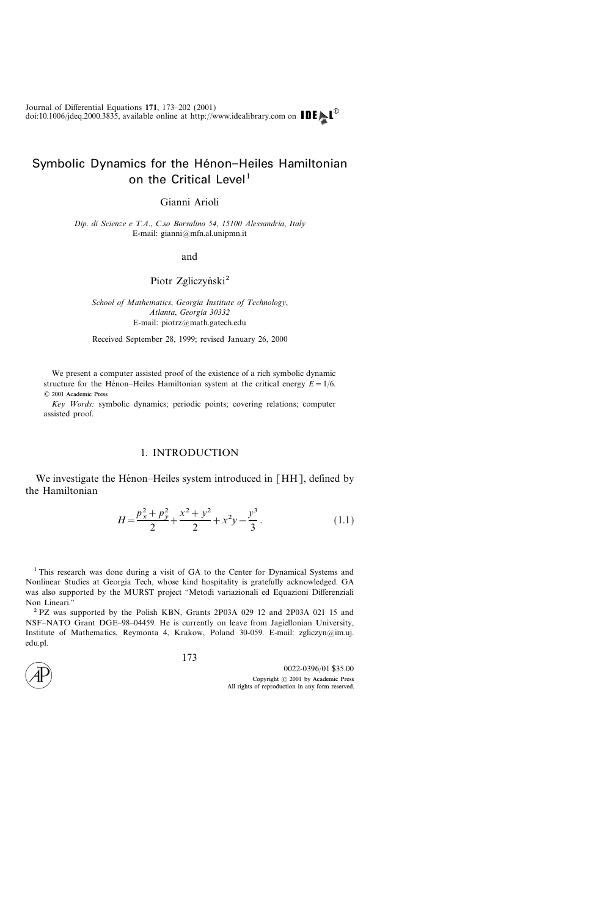# Symbolic Dynamics for the Hénon-Heiles Hamiltonian on the Critical Level<sup>1</sup>

Gianni Arioli

Dip. di Scienze e T.A., C.so Borsalino 54, 15100 Alessandria, Italy E-mail: gianni $@$ mfn.al.unipmn.it

and

Piotr Zgliczyński<sup>2</sup>

School of Mathematics, Georgia Institute of Technology, Atlanta, Georgia 30332 E-mail: piotrz@math.gatech.edu

Received September 28, 1999; revised January 26, 2000

We present a computer assisted proof of the existence of a rich symbolic dynamic structure for the Hénon-Heiles Hamiltonian system at the critical energy  $E=1/6$ . 2001 Academic Press

Key Words: symbolic dynamics; periodic points; covering relations; computer assisted proof.

# 1. INTRODUCTION

We investigate the Hénon–Heiles system introduced in  $[HH]$ , defined by the Hamiltonian

$$
H = \frac{p_x^2 + p_y^2}{2} + \frac{x^2 + y^2}{2} + x^2y - \frac{y^3}{3}.
$$
 (1.1)

<sup>1</sup> This research was done during a visit of GA to the Center for Dynamical Systems and Nonlinear Studies at Georgia Tech, whose kind hospitality is gratefully acknowledged. GA was also supported by the MURST project "Metodi variazionali ed Equazioni Differenziali Non Lineari.''

<sup>2</sup> PZ was supported by the Polish KBN, Grants 2P03A 029 12 and 2P03A 021 15 and NSF-NATO Grant DGE-98-04459. He is currently on leave from Jagiellonian University, Institute of Mathematics, Reymonta 4, Krakow, Poland 30-059. E-mail: zgliczyn $@$ im.uj. edu.pl.

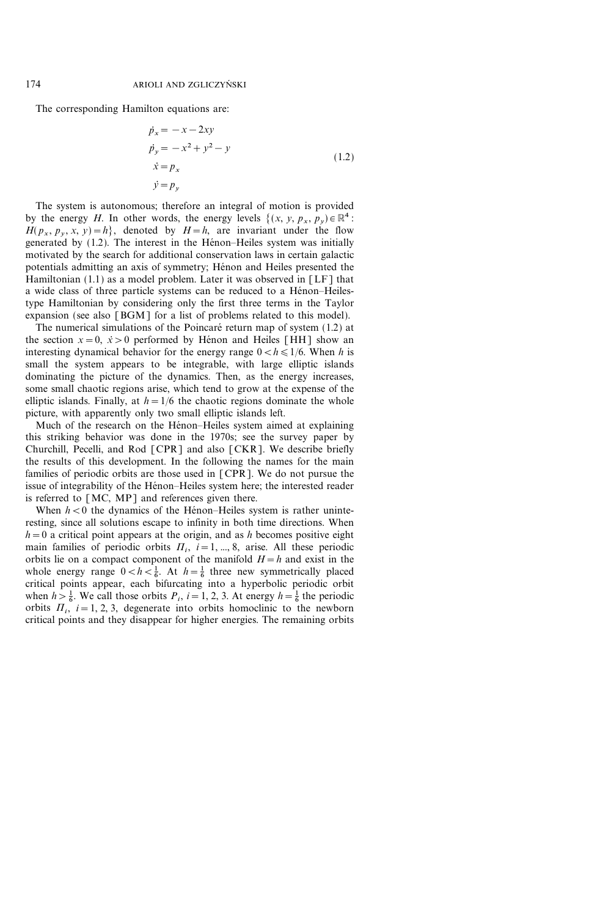The corresponding Hamilton equations are:

$$
\dot{p}_x = -x - 2xy
$$
  
\n
$$
\dot{p}_y = -x^2 + y^2 - y
$$
  
\n
$$
\dot{x} = p_x
$$
  
\n
$$
\dot{y} = p_y
$$
\n(1.2)

The system is autonomous; therefore an integral of motion is provided by the energy H. In other words, the energy levels  $\{(x, y, p_x, p_y) \in \mathbb{R}^4$ :  $H(p_x, p_y, x, y) = h$ , denoted by  $H=h$ , are invariant under the flow generated by  $(1.2)$ . The interest in the Hénon-Heiles system was initially motivated by the search for additional conservation laws in certain galactic potentials admitting an axis of symmetry; Hénon and Heiles presented the Hamiltonian (1.1) as a model problem. Later it was observed in [LF] that a wide class of three particle systems can be reduced to a Hénon-Heilestype Hamiltonian by considering only the first three terms in the Taylor expansion (see also [BGM] for a list of problems related to this model).

The numerical simulations of the Poincaré return map of system (1.2) at the section  $x=0$ ,  $\dot{x} > 0$  performed by Henon and Heiles [HH] show an interesting dynamical behavior for the energy range  $0 < h \leq 1/6$ . When h is small the system appears to be integrable, with large elliptic islands dominating the picture of the dynamics. Then, as the energy increases, some small chaotic regions arise, which tend to grow at the expense of the elliptic islands. Finally, at  $h=1/6$  the chaotic regions dominate the whole picture, with apparently only two small elliptic islands left.

Much of the research on the Hénon–Heiles system aimed at explaining this striking behavior was done in the 1970s; see the survey paper by Churchill, Pecelli, and Rod [CPR] and also [CKR]. We describe briefly the results of this development. In the following the names for the main families of periodic orbits are those used in [CPR]. We do not pursue the issue of integrability of the Hénon-Heiles system here; the interested reader is referred to [MC, MP] and references given there.

When  $h < 0$  the dynamics of the Hénon-Heiles system is rather uninteresting, since all solutions escape to infinity in both time directions. When  $h=0$  a critical point appears at the origin, and as h becomes positive eight main families of periodic orbits  $\Pi_i$ ,  $i=1, ..., 8$ , arise. All these periodic orbits lie on a compact component of the manifold  $H=h$  and exist in the whole energy range  $0 < h < \frac{1}{6}$ . At  $h = \frac{1}{6}$  three new symmetrically placed critical points appear, each bifurcating into a hyperbolic periodic orbit when  $h > \frac{1}{6}$ . We call those orbits  $P_i$ ,  $i = 1, 2, 3$ . At energy  $h = \frac{1}{6}$  the periodic orbits  $\Pi_i$ ,  $i=1, 2, 3$ , degenerate into orbits homoclinic to the newborn critical points and they disappear for higher energies. The remaining orbits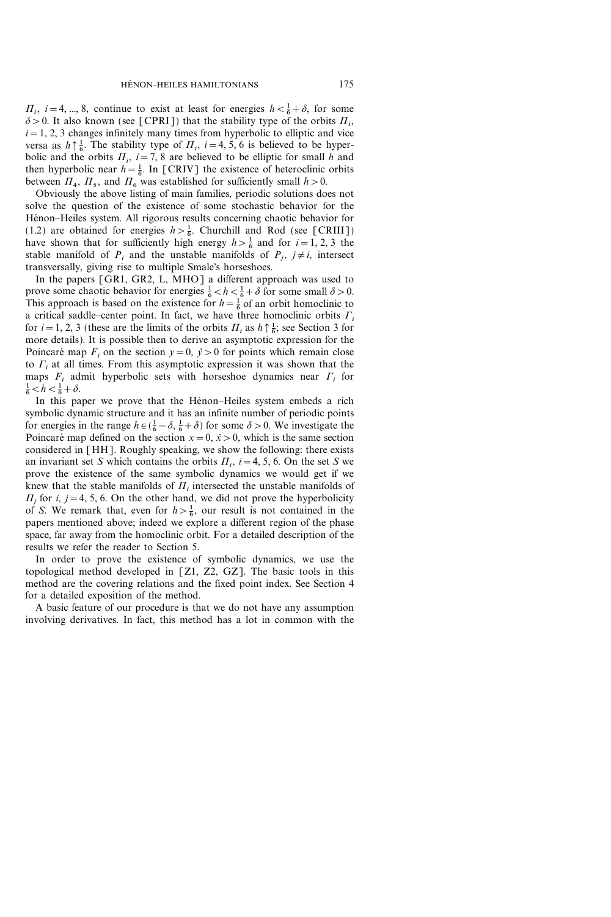$\Pi_i$ ,  $i=4, ..., 8$ , continue to exist at least for energies  $h < \frac{1}{6} + \delta$ , for some  $\delta$  > 0. It also known (see [CPRI]) that the stability type of the orbits  $\Pi_i$ ,  $i=1, 2, 3$  changes infinitely many times from hyperbolic to elliptic and vice versa as  $h \uparrow \frac{1}{6}$ . The stability type of  $\Pi_i$ ,  $i=4, 5, 6$  is believed to be hyperbolic and the orbits  $\Pi_i$ ,  $i=7, 8$  are believed to be elliptic for small h and then hyperbolic near  $h = \frac{1}{6}$ . In [CRIV] the existence of heteroclinic orbits between  $\Pi_4$ ,  $\Pi_5$ , and  $\Pi_6$  was established for sufficiently small  $h>0$ .

Obviously the above listing of main families, periodic solutions does not solve the question of the existence of some stochastic behavior for the Hénon–Heiles system. All rigorous results concerning chaotic behavior for (1.2) are obtained for energies  $h > \frac{1}{6}$ . Churchill and Rod (see [CRIII]) have shown that for sufficiently high energy  $h > \frac{1}{6}$  and for  $i = 1, 2, 3$  the stable manifold of  $P_i$  and the unstable manifolds of  $P_i$ ,  $j \neq i$ , intersect transversally, giving rise to multiple Smale's horseshoes.

In the papers [GR1, GR2, L, MHO] a different approach was used to prove some chaotic behavior for energies  $\frac{1}{6} < h < \frac{1}{6} + \delta$  for some small  $\delta > 0$ . This approach is based on the existence for  $h = \frac{1}{6}$  of an orbit homoclinic to a critical saddle-center point. In fact, we have three homoclinic orbits  $\Gamma_i$ for  $i = 1, 2, 3$  (these are the limits of the orbits  $\Pi_i$  as  $h \uparrow \frac{1}{6}$ ; see Section 3 for more details). It is possible then to derive an asymptotic expression for the Poincaré map  $F_i$  on the section  $y=0$ ,  $\dot{y}>0$  for points which remain close to  $\Gamma_i$  at all times. From this asymptotic expression it was shown that the maps  $F_i$  admit hyperbolic sets with horseshoe dynamics near  $\Gamma_i$  for  $\frac{1}{6} < h < \frac{1}{6} + \delta.$ 

In this paper we prove that the Hénon-Heiles system embeds a rich symbolic dynamic structure and it has an infinite number of periodic points for energies in the range  $h \in (\frac{1}{6} - \delta, \frac{1}{6} + \delta)$  for some  $\delta > 0$ . We investigate the Poincaré map defined on the section  $x=0$ ,  $\dot{x} > 0$ , which is the same section considered in [HH]. Roughly speaking, we show the following: there exists an invariant set S which contains the orbits  $\Pi_i$ ,  $i=4, 5, 6$ . On the set S we prove the existence of the same symbolic dynamics we would get if we knew that the stable manifolds of  $\Pi_i$  intersected the unstable manifolds of  $\Pi_i$  for i, j = 4, 5, 6. On the other hand, we did not prove the hyperbolicity of S. We remark that, even for  $h > \frac{1}{6}$ , our result is not contained in the papers mentioned above; indeed we explore a different region of the phase space, far away from the homoclinic orbit. For a detailed description of the results we refer the reader to Section 5.

In order to prove the existence of symbolic dynamics, we use the topological method developed in [Z1, Z2, GZ]. The basic tools in this method are the covering relations and the fixed point index. See Section 4 for a detailed exposition of the method.

A basic feature of our procedure is that we do not have any assumption involving derivatives. In fact, this method has a lot in common with the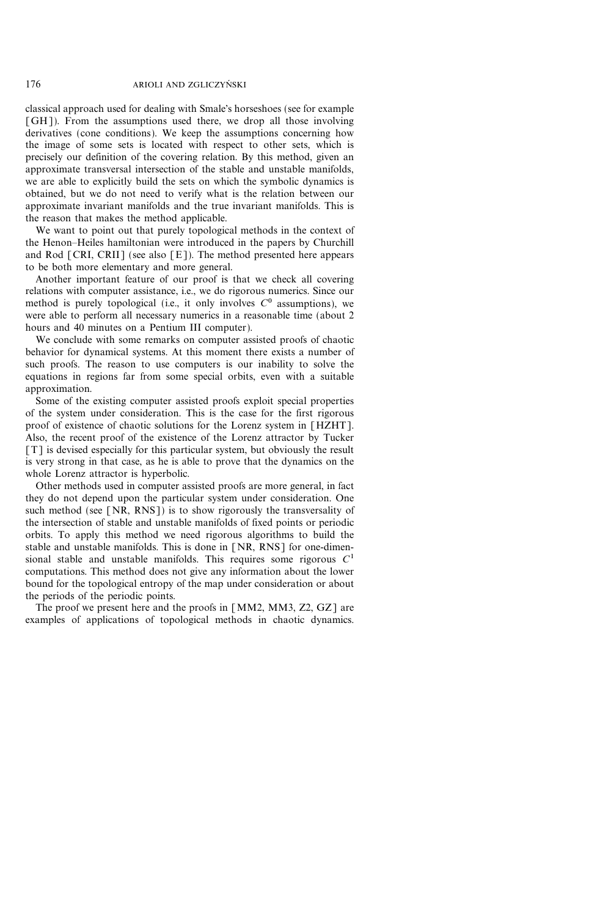classical approach used for dealing with Smale's horseshoes (see for example [GH]). From the assumptions used there, we drop all those involving derivatives (cone conditions). We keep the assumptions concerning how the image of some sets is located with respect to other sets, which is precisely our definition of the covering relation. By this method, given an approximate transversal intersection of the stable and unstable manifolds, we are able to explicitly build the sets on which the symbolic dynamics is obtained, but we do not need to verify what is the relation between our approximate invariant manifolds and the true invariant manifolds. This is the reason that makes the method applicable.

We want to point out that purely topological methods in the context of the Henon-Heiles hamiltonian were introduced in the papers by Churchill and Rod  $\lceil \text{CRI}, \text{CRII} \rceil$  (see also  $\lceil \text{E} \rceil$ ). The method presented here appears to be both more elementary and more general.

Another important feature of our proof is that we check all covering relations with computer assistance, i.e., we do rigorous numerics. Since our method is purely topological (i.e., it only involves  $C<sup>0</sup>$  assumptions), we were able to perform all necessary numerics in a reasonable time (about 2 hours and 40 minutes on a Pentium III computer).

We conclude with some remarks on computer assisted proofs of chaotic behavior for dynamical systems. At this moment there exists a number of such proofs. The reason to use computers is our inability to solve the equations in regions far from some special orbits, even with a suitable approximation.

Some of the existing computer assisted proofs exploit special properties of the system under consideration. This is the case for the first rigorous proof of existence of chaotic solutions for the Lorenz system in [HZHT]. Also, the recent proof of the existence of the Lorenz attractor by Tucker [T] is devised especially for this particular system, but obviously the result is very strong in that case, as he is able to prove that the dynamics on the whole Lorenz attractor is hyperbolic.

Other methods used in computer assisted proofs are more general, in fact they do not depend upon the particular system under consideration. One such method (see  $[NR, RNS]$ ) is to show rigorously the transversality of the intersection of stable and unstable manifolds of fixed points or periodic orbits. To apply this method we need rigorous algorithms to build the stable and unstable manifolds. This is done in [NR, RNS] for one-dimensional stable and unstable manifolds. This requires some rigorous  $C<sup>1</sup>$ computations. This method does not give any information about the lower bound for the topological entropy of the map under consideration or about the periods of the periodic points.

The proof we present here and the proofs in [MM2, MM3, Z2, GZ] are examples of applications of topological methods in chaotic dynamics.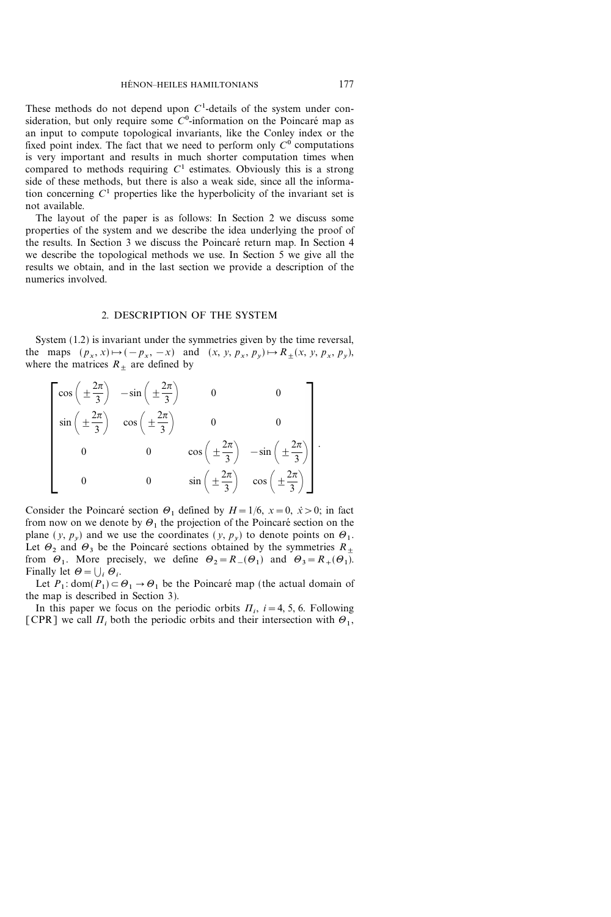These methods do not depend upon  $C<sup>1</sup>$ -details of the system under consideration, but only require some  $C<sup>0</sup>$ -information on the Poincaré map as an input to compute topological invariants, like the Conley index or the fixed point index. The fact that we need to perform only  $C^0$  computations is very important and results in much shorter computation times when compared to methods requiring  $C<sup>1</sup>$  estimates. Obviously this is a strong side of these methods, but there is also a weak side, since all the information concerning  $C<sup>1</sup>$  properties like the hyperbolicity of the invariant set is not available.

The layout of the paper is as follows: In Section 2 we discuss some properties of the system and we describe the idea underlying the proof of the results. In Section 3 we discuss the Poincaré return map. In Section 4 we describe the topological methods we use. In Section 5 we give all the results we obtain, and in the last section we provide a description of the numerics involved.

# 2. DESCRIPTION OF THE SYSTEM

System (1.2) is invariant under the symmetries given by the time reversal, the maps  $(p_x, x) \mapsto (-p_x, -x)$  and  $(x, y, p_x, p_y) \mapsto R_{\pm}(x, y, p_x, p_y),$ where the matrices  $R_+$  are defined by

$$
\begin{bmatrix}\n\cos\left(\pm\frac{2\pi}{3}\right) & -\sin\left(\pm\frac{2\pi}{3}\right) & 0 & 0 \\
\sin\left(\pm\frac{2\pi}{3}\right) & \cos\left(\pm\frac{2\pi}{3}\right) & 0 & 0 \\
0 & 0 & \cos\left(\pm\frac{2\pi}{3}\right) & -\sin\left(\pm\frac{2\pi}{3}\right) \\
0 & 0 & \sin\left(\pm\frac{2\pi}{3}\right) & \cos\left(\pm\frac{2\pi}{3}\right)\n\end{bmatrix}
$$

Consider the Poincaré section  $\Theta_1$  defined by  $H=1/6$ ,  $x=0$ ,  $\dot{x}>0$ ; in fact from now on we denote by  $\Theta_1$  the projection of the Poincaré section on the plane  $(y, p_y)$  and we use the coordinates  $(y, p_y)$  to denote points on  $\Theta_1$ . Let  $\Theta_2$  and  $\Theta_3$  be the Poincaré sections obtained by the symmetries  $R_{+}$ from  $\Theta_1$ . More precisely, we define  $\Theta_2 = R_{-}(\Theta_1)$  and  $\Theta_3 = R_{+}(\Theta_1)$ . Finally let  $\Theta = \bigcup_i \Theta_i$ .

Let  $P_1$ : dom $(P_1) \subset \Theta_1 \rightarrow \Theta_1$  be the Poincaré map (the actual domain of the map is described in Section 3).

In this paper we focus on the periodic orbits  $\Pi_i$ , i=4, 5, 6. Following [CPR] we call  $\Pi_i$  both the periodic orbits and their intersection with  $\Theta_1$ ,

.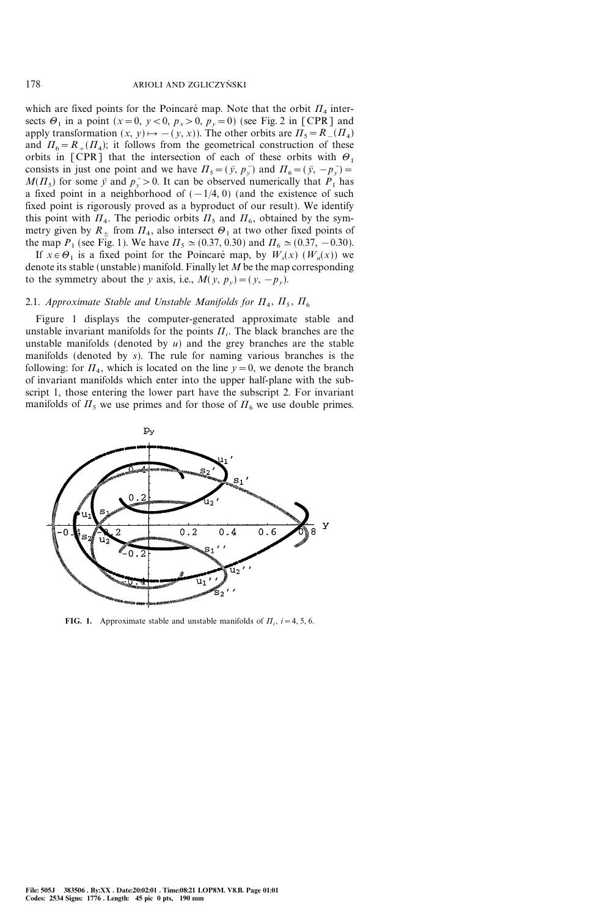which are fixed points for the Poincaré map. Note that the orbit  $\Pi_4$  intersects  $\Theta_1$  in a point (x=0, y < 0, p<sub>x</sub> > 0, p<sub>y</sub> = 0) (see Fig. 2 in [CPR] and apply transformation  $(x, y) \mapsto -(y, x)$ ). The other orbits are  $\Pi_5 = R_-(\Pi_4)$ and  $\Pi_6 = R_+(H_4)$ ; it follows from the geometrical construction of these orbits in [CPR] that the intersection of each of these orbits with  $\theta_1$ consists in just one point and we have  $\Pi_5 = (\bar{y}, p_{y})$  and  $\Pi_6 = (\bar{y}, -p_{y}) =$  $M(\Pi<sub>5</sub>)$  for some  $\bar{y}$  and  $p_y > 0$ . It can be observed numerically that  $P_1$  has a fixed point in a neighborhood of  $(-1/4, 0)$  (and the existence of such fixed point is rigorously proved as a byproduct of our result). We identify this point with  $\Pi_4$ . The periodic orbits  $\Pi_5$  and  $\Pi_6$ , obtained by the symmetry given by  $R_+$  from  $\Pi_4$ , also intersect  $\Theta_1$  at two other fixed points of the map  $P_1$  (see Fig. 1). We have  $\Pi_5 \simeq (0.37, 0.30)$  and  $\Pi_6 \simeq (0.37, -0.30)$ .

If  $x \in \Theta_1$  is a fixed point for the Poincaré map, by  $W_s(x)$  ( $W_u(x)$ ) we denote its stable (unstable) manifold. Finally let  $M$  be the map corresponding to the symmetry about the y axis, i.e.,  $M(y, p_y) = (y, -p_y)$ .

# 2.1. Approximate Stable and Unstable Manifolds for  $\Pi_4$ ,  $\Pi_5$ ,  $\Pi_6$

Figure 1 displays the computer-generated approximate stable and unstable invariant manifolds for the points  $\Pi_i$ . The black branches are the unstable manifolds (denoted by  $u$ ) and the grey branches are the stable manifolds (denoted by s). The rule for naming various branches is the following: for  $\Pi_4$ , which is located on the line  $y=0$ , we denote the branch of invariant manifolds which enter into the upper half-plane with the subscript 1, those entering the lower part have the subscript 2. For invariant manifolds of  $\Pi_5$  we use primes and for those of  $\Pi_6$  we use double primes.



**FIG. 1.** Approximate stable and unstable manifolds of  $\Pi_i$ ,  $i=4, 5, 6$ .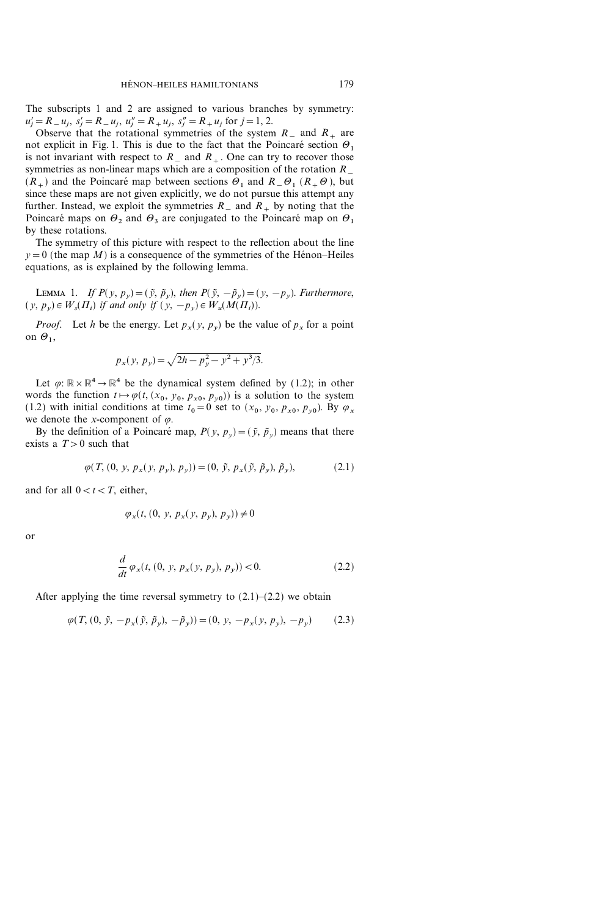The subscripts 1 and 2 are assigned to various branches by symmetry:  $u'_j = R_{-}u_j, s'_j = R_{-}u_j, u''_j = R_{+}u_j, s''_j = R_{+}u_j$  for  $j = 1, 2$ .

Observe that the rotational symmetries of the system  $R_{-}$  and  $R_{+}$  are not explicit in Fig. 1. This is due to the fact that the Poincaré section  $\Theta_1$ is not invariant with respect to  $R_{-}$  and  $R_{+}$ . One can try to recover those symmetries as non-linear maps which are a composition of the rotation  $R_{-}$  $(R_{+})$  and the Poincaré map between sections  $\Theta_1$  and  $R_{-} \Theta_1$  ( $R_{+} \Theta$ ), but since these maps are not given explicitly, we do not pursue this attempt any further. Instead, we exploit the symmetries  $R_{-}$  and  $R_{+}$  by noting that the Poincaré maps on  $\Theta_2$  and  $\Theta_3$  are conjugated to the Poincaré map on  $\Theta_1$ by these rotations.

The symmetry of this picture with respect to the reflection about the line  $y=0$  (the map M) is a consequence of the symmetries of the Hénon–Heiles equations, as is explained by the following lemma.

LEMMA 1. If  $P(y, p_y) = (\tilde{y}, \tilde{p}_y)$ , then  $P(\tilde{y}, -\tilde{p}_y) = (y, -p_y)$ . Furthermore,  $(y, p_v) \in W_s(\Pi_i)$  if and only if  $(y, -p_v) \in W_u(M(\Pi_i)).$ 

*Proof.* Let h be the energy. Let  $p_x(y, p_y)$  be the value of  $p_x$  for a point on  $\Theta_1$ ,

$$
p_x(y, p_y) = \sqrt{2h - p_y^2 - y^2 + y^3/3}.
$$

Let  $\varphi: \mathbb{R} \times \mathbb{R}^4 \to \mathbb{R}^4$  be the dynamical system defined by (1.2); in other words the function  $t \mapsto \varphi(t, (x_0, y_0, p_{x0}, p_{y0}))$  is a solution to the system (1.2) with initial conditions at time  $t_0=0$  set to  $(x_0, y_0, p_{x0}, p_{y0})$ . By  $\varphi_x$ we denote the x-component of  $\varphi$ .

By the definition of a Poincaré map,  $P(y, p_y) = (\tilde{y}, \tilde{p}_y)$  means that there exists a  $T>0$  such that

$$
\varphi(T, (0, y, p_x(y, p_y), p_y)) = (0, \tilde{y}, p_x(\tilde{y}, \tilde{p}_y), \tilde{p}_y),
$$
 (2.1)

and for all  $0 < t < T$ , either,

$$
\varphi_x(t, (0, y, p_x(y, p_y), p_y)) \neq 0
$$

or

$$
\frac{d}{dt}\varphi_x(t,(0, y, p_x(y, p_y), p_y)) < 0.
$$
\n(2.2)

After applying the time reversal symmetry to  $(2.1)-(2.2)$  we obtain

$$
\varphi(T, (0, \tilde{y}, -p_x(\tilde{y}, \tilde{p}_y), -\tilde{p}_y)) = (0, y, -p_x(y, p_y), -p_y) \tag{2.3}
$$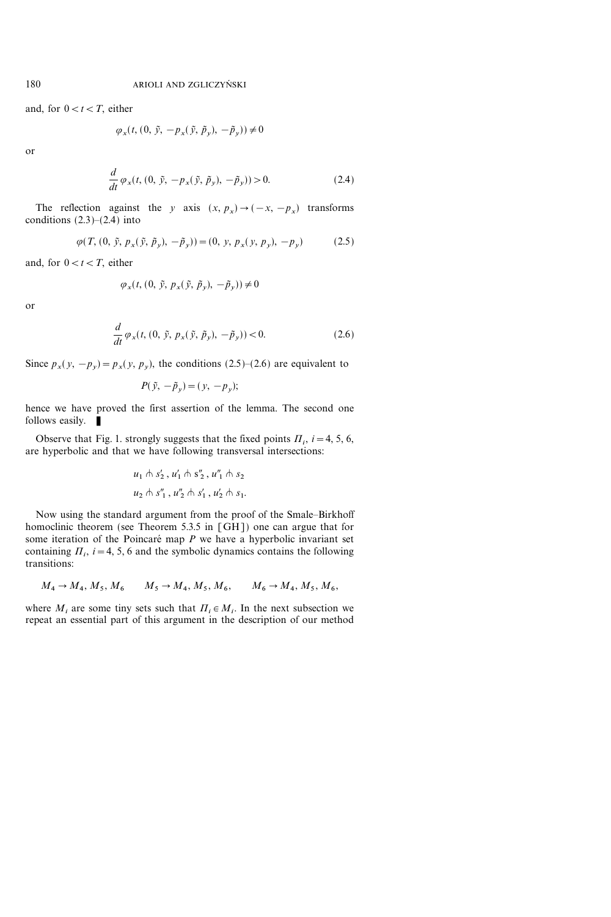and, for  $0 < t < T$ , either

$$
\varphi_x(t, (0, \tilde{y}, -p_x(\tilde{y}, \tilde{p}_y), -\tilde{p}_y)) \neq 0
$$

or

$$
\frac{d}{dt}\varphi_x(t, (0, \tilde{y}, -p_x(\tilde{y}, \tilde{p}_y), -\tilde{p}_y)) > 0.
$$
\n(2.4)

The reflection against the y axis  $(x, p_x) \rightarrow (-x, -p_x)$  transforms conditions  $(2.3)-(2.4)$  into

$$
\varphi(T, (0, \tilde{y}, p_x(\tilde{y}, \tilde{p}_y), -\tilde{p}_y)) = (0, y, p_x(y, p_y), -p_y) \tag{2.5}
$$

and, for  $0 < t < T$ , either

$$
\varphi_x(t, (0, \tilde{y}, p_x(\tilde{y}, \tilde{p}_y), -\tilde{p}_y)) \neq 0
$$

or

$$
\frac{d}{dt}\,\varphi_x(t,(0,\,\tilde{y},\,p_x(\,\tilde{y},\,\tilde{p}_y),\,-\tilde{p}_y)) < 0.\tag{2.6}
$$

Since  $p_x(y, -p_y) = p_x(y, p_y)$ , the conditions (2.5)–(2.6) are equivalent to

$$
P(\tilde{y}, -\tilde{p}_y) = (y, -p_y);
$$

hence we have proved the first assertion of the lemma. The second one follows easily.

Observe that Fig. 1. strongly suggests that the fixed points  $\Pi_i$ ,  $i=4, 5, 6$ , are hyperbolic and that we have following transversal intersections:

$$
u_1 \wedge s'_2, u'_1 \wedge s''_2, u''_1 \wedge s_2
$$
  

$$
u_2 \wedge s''_1, u''_2 \wedge s'_1, u'_2 \wedge s_1.
$$

Now using the standard argument from the proof of the Smale-Birkhoff homoclinic theorem (see Theorem 5.3.5 in [GH]) one can argue that for some iteration of the Poincaré map  $P$  we have a hyperbolic invariant set containing  $\Pi_i$ , i=4, 5, 6 and the symbolic dynamics contains the following transitions:

$$
M_4 \to M_4, M_5, M_6
$$
  $M_5 \to M_4, M_5, M_6$ ,  $M_6 \to M_4, M_5, M_6$ 

where  $M_i$  are some tiny sets such that  $\Pi_i \in M_i$ . In the next subsection we repeat an essential part of this argument in the description of our method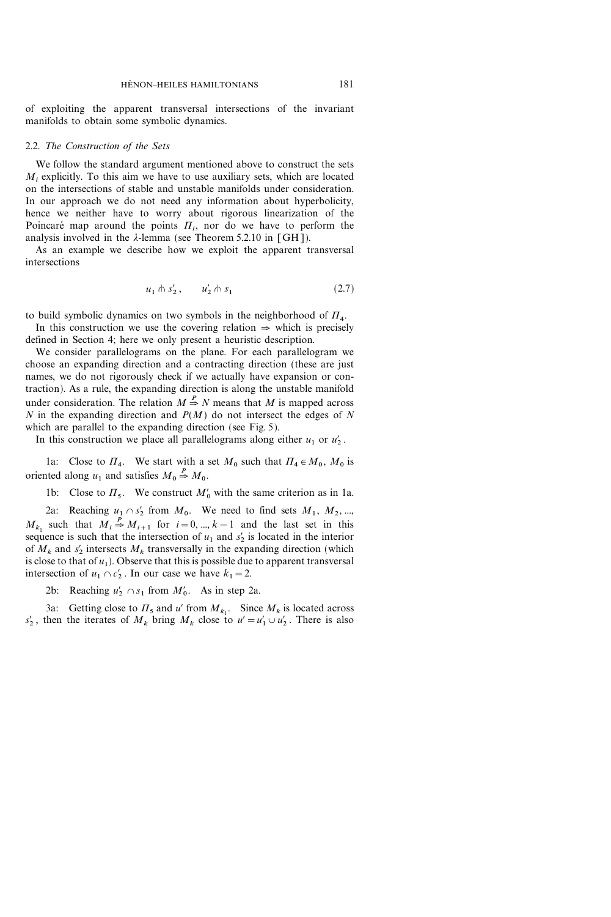of exploiting the apparent transversal intersections of the invariant manifolds to obtain some symbolic dynamics.

# 2.2. The Construction of the Sets

We follow the standard argument mentioned above to construct the sets  $M_i$ , explicitly. To this aim we have to use auxiliary sets, which are located on the intersections of stable and unstable manifolds under consideration. In our approach we do not need any information about hyperbolicity, hence we neither have to worry about rigorous linearization of the Poincaré map around the points  $\Pi_i$ , nor do we have to perform the analysis involved in the  $\lambda$ -lemma (see Theorem 5.2.10 in [GH]).

As an example we describe how we exploit the apparent transversal intersections

$$
u_1 \wedge s_2', \qquad u_2' \wedge s_1 \tag{2.7}
$$

to build symbolic dynamics on two symbols in the neighborhood of  $\Pi_4$ .

In this construction we use the covering relation  $\Rightarrow$  which is precisely defined in Section 4; here we only present a heuristic description.

We consider parallelograms on the plane. For each parallelogram we choose an expanding direction and a contracting direction (these are just names, we do not rigorously check if we actually have expansion or contraction). As a rule, the expanding direction is along the unstable manifold under consideration. The relation  $M \stackrel{P}{\Rightarrow} N$  means that M is mapped across  $N$  in the expanding direction and  $P(M)$  do not intersect the edges of  $N$ which are parallel to the expanding direction (see Fig. 5).

In this construction we place all parallelograms along either  $u_1$  or  $u_2'$ .

1a: Close to  $\Pi_4$ . We start with a set  $M_0$  such that  $\Pi_4 \in M_0$ ,  $M_0$  is oriented along  $u_1$  and satisfies  $M_0 \stackrel{P}{\Rightarrow} M_0$ .

1b: Close to  $\Pi_5$ . We construct  $M'_0$  with the same criterion as in 1a.

2a: Reaching  $u_1 \cap s_2'$  from  $M_0$ . We need to find sets  $M_1, M_2, ...$  $M_{k_1}$  such that  $M_i \stackrel{P}{\Rightarrow} M_{i+1}$  for  $i=0, ..., k-1$  and the last set in this sequence is such that the intersection of  $u_1$  and  $s_2$  is located in the interior of  $M_k$  and  $s'_2$  intersects  $M_k$  transversally in the expanding direction (which is close to that of  $u_1$ ). Observe that this is possible due to apparent transversal intersection of  $u_1 \cap c_2'$ . In our case we have  $k_1 = 2$ .

2b: Reaching  $u'_2 \cap s_1$  from  $M'_0$ . As in step 2a.

3a: Getting close to  $\Pi_5$  and u' from  $M_{k_1}$ . Since  $M_k$  is located across  $s'_2$ , then the iterates of  $M_k$  bring  $M_k$  close to  $u' = u'_1 \cup u'_2$ . There is also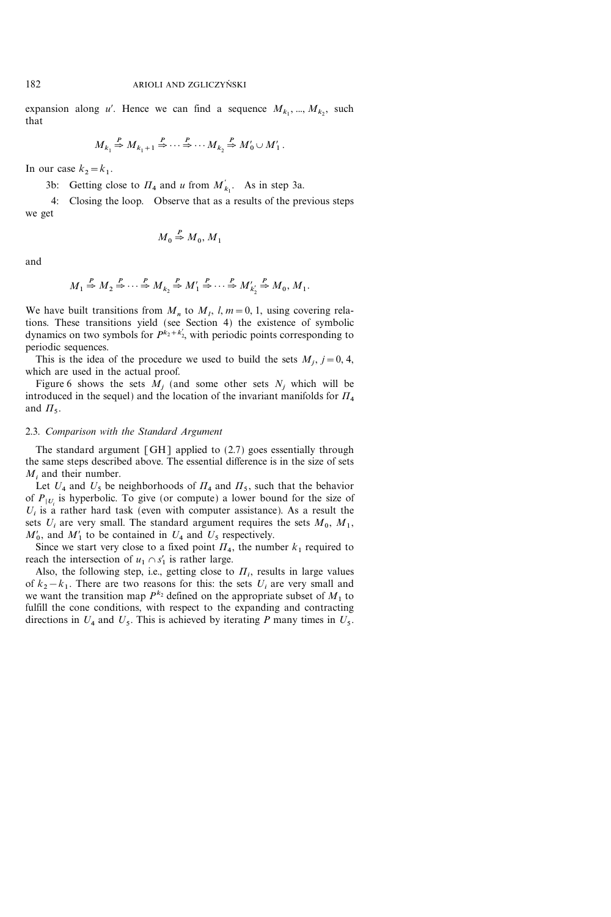expansion along u'. Hence we can find a sequence  $M_{k_1}, ..., M_{k_2}$ , such that

$$
M_{k_1} \stackrel{P}{\Rightarrow} M_{k_1+1} \stackrel{P}{\Rightarrow} \cdots \stackrel{P}{\Rightarrow} \cdots M_{k_2} \stackrel{P}{\Rightarrow} M'_0 \cup M'_1.
$$

In our case  $k_2 = k_1$ .

3b: Getting close to  $\Pi_4$  and u from  $M'_{k_1}$ . As in step 3a.

4: Closing the loop. Observe that as a results of the previous steps we get

$$
M_0 \stackrel{P}{\Rightarrow} M_0, M_1
$$

and

$$
M_1 \stackrel{P}{\Rightarrow} M_2 \stackrel{P}{\Rightarrow} \cdots \stackrel{P}{\Rightarrow} M_{k_2} \stackrel{P}{\Rightarrow} M'_1 \stackrel{P}{\Rightarrow} \cdots \stackrel{P}{\Rightarrow} M'_{k'_2} \stackrel{P}{\Rightarrow} M_0, M_1.
$$

We have built transitions from  $M_n$  to  $M_l$ ,  $l, m=0, 1$ , using covering relations. These transitions yield (see Section 4) the existence of symbolic dynamics on two symbols for  $P^{k_2+k_2}$ , with periodic points corresponding to periodic sequences.

This is the idea of the procedure we used to build the sets  $M_i$ ,  $j=0, 4$ , which are used in the actual proof.

Figure 6 shows the sets  $M_i$  (and some other sets  $N_i$ , which will be introduced in the sequel) and the location of the invariant manifolds for  $\Pi_4$ and  $\Pi_5$ .

# 2.3. Comparison with the Standard Argument

The standard argument  $\lceil GH \rceil$  applied to (2.7) goes essentially through the same steps described above. The essential difference is in the size of sets  $M_i$ , and their number.

Let  $U_4$  and  $U_5$  be neighborhoods of  $\Pi_4$  and  $\Pi_5$ , such that the behavior of  $P_{|U_i}$  is hyperbolic. To give (or compute) a lower bound for the size of  $U_i$  is a rather hard task (even with computer assistance). As a result the sets  $U_i$  are very small. The standard argument requires the sets  $M_0$ ,  $M_1$ ,  $M'_0$ , and  $M'_1$  to be contained in  $U_4$  and  $U_5$  respectively.

Since we start very close to a fixed point  $\Pi_4$ , the number  $k_1$  required to reach the intersection of  $u_1 \cap s'_1$  is rather large.

Also, the following step, i.e., getting close to  $\Pi_i$ , results in large values of  $k_2 - k_1$ . There are two reasons for this: the sets  $U_i$  are very small and we want the transition map  $P^{k_2}$  defined on the appropriate subset of  $M_1$  to fulfill the cone conditions, with respect to the expanding and contracting directions in  $U_4$  and  $U_5$ . This is achieved by iterating P many times in  $U_5$ .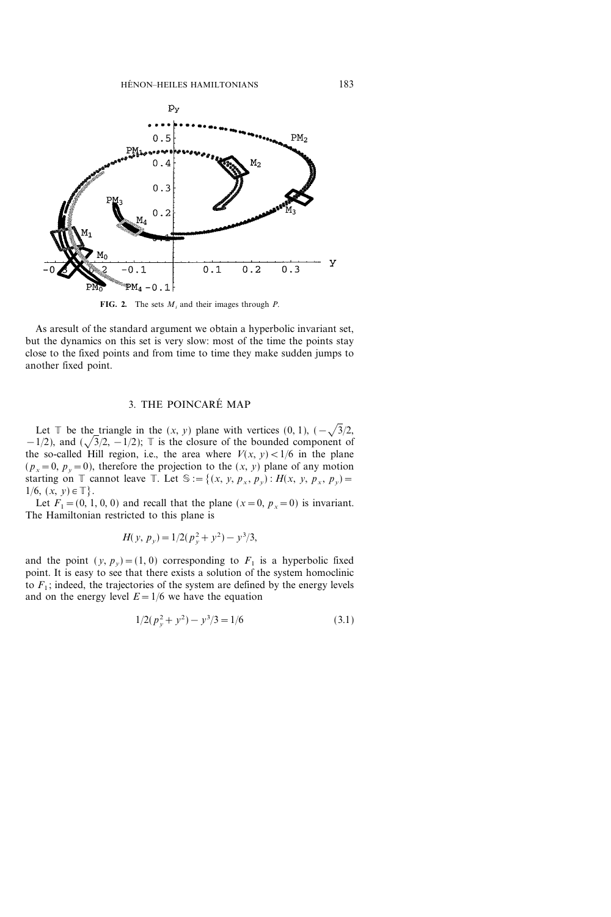

FIG. 2. The sets  $M_i$  and their images through P.

As aresult of the standard argument we obtain a hyperbolic invariant set, but the dynamics on this set is very slow: most of the time the points stay close to the fixed points and from time to time they make sudden jumps to another fixed point.

# 3. THE POINCARE MAP

Let  $\mathbb T$  be the triangle in the  $(x, y)$  plane with vertices  $(0, 1), (-\sqrt{3}/2,$  $-1/2$ ), and  $(\sqrt{3}/2, -1/2)$ ; T is the closure of the bounded component of the so-called Hill region, i.e., the area where  $V(x, y) < 1/6$  in the plane  $(p_x=0, p_y=0)$ , therefore the projection to the  $(x, y)$  plane of any motion starting on  $\mathbb T$  cannot leave  $\mathbb T$ . Let  $\mathbb S := \{(x, y, p_x, p_y) : H(x, y, p_x, p_y) =$  $1/6, (x, y) \in \mathbb{T}$ .

Let  $F_1=(0, 1, 0, 0)$  and recall that the plane  $(x=0, p_x=0)$  is invariant. The Hamiltonian restricted to this plane is

$$
H(y, p_y) = 1/2(p_y^2 + y^2) - y^3/3,
$$

and the point  $(y, p_y) = (1, 0)$  corresponding to  $F_1$  is a hyperbolic fixed point. It is easy to see that there exists a solution of the system homoclinic to  $F_1$ ; indeed, the trajectories of the system are defined by the energy levels and on the energy level  $E=1/6$  we have the equation

$$
1/2(p_y^2 + y^2) - y^3/3 = 1/6
$$
\n(3.1)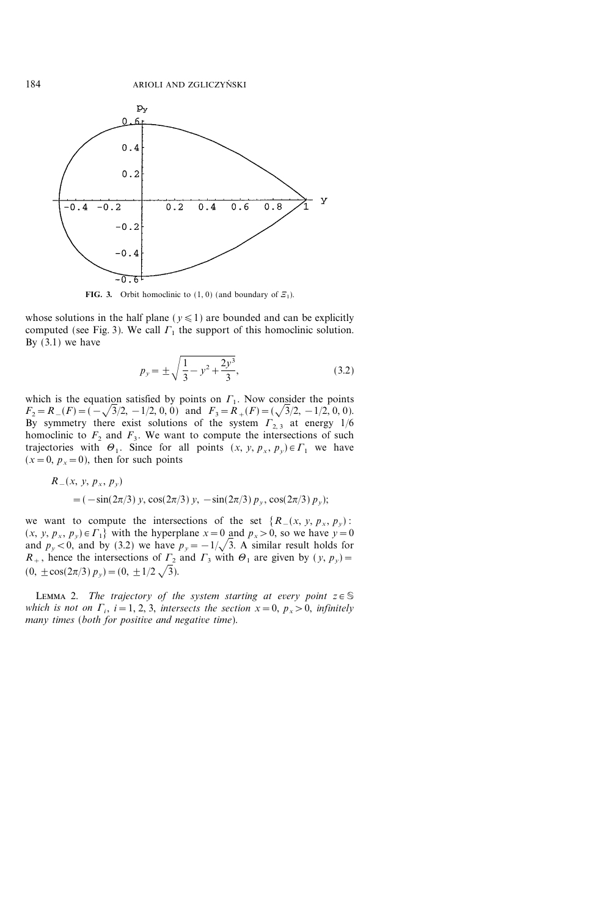

**FIG. 3.** Orbit homoclinic to  $(1, 0)$  (and boundary of  $\mathcal{Z}_1$ ).

whose solutions in the half plane ( $y \le 1$ ) are bounded and can be explicitly computed (see Fig. 3). We call  $\Gamma_1$  the support of this homoclinic solution. By  $(3.1)$  we have

$$
p_y = \pm \sqrt{\frac{1}{3} - y^2 + \frac{2y^3}{3}},
$$
\n(3.2)

which is the equation satisfied by points on  $\Gamma_1$ . Now consider the points  $F_2 = R_-(F) = (-\sqrt{3}/2, -1/2, 0, 0)$  and  $F_3 = R_+(F) = (\sqrt{3}/2, -1/2, 0, 0).$ By symmetry there exist solutions of the system  $\Gamma_{2,3}$  at energy 1/6 homoclinic to  $F_2$  and  $F_3$ . We want to compute the intersections of such trajectories with  $\Theta_1$ . Since for all points  $(x, y, p_x, p_y) \in \Gamma_1$  we have  $(x=0, p_x=0)$ , then for such points

$$
R_{-}(x, y, p_{x}, p_{y})
$$
  
=  $(-\sin(2\pi/3) y, \cos(2\pi/3) y, -\sin(2\pi/3) p_{y}, \cos(2\pi/3) p_{y});$ 

we want to compute the intersections of the set  $\{R_{-}(x, y, p_{x}, p_{y})\}$ :  $(x, y, p_x, p_y) \in \Gamma_1$  with the hyperplane  $x = 0$  and  $p_x > 0$ , so we have  $y = 0$ and  $p_y < 0$ , and by (3.2) we have  $p_y = -1/\sqrt{3}$ . A similar result holds for  $R_+$ , hence the intersections of  $\Gamma_2$  and  $\Gamma_3$  with  $\Theta_1$  are given by  $(y, p_y)$  $(0, \pm \cos(2\pi/3) p_y) = (0, \pm 1/2 \sqrt{3}).$ 

LEMMA 2. The trajectory of the system starting at every point  $z \in \mathbb{S}$ which is not on  $\Gamma_i$ ,  $i=1, 2, 3$ , intersects the section  $x=0$ ,  $p_x>0$ , infinitely many times (both for positive and negative time).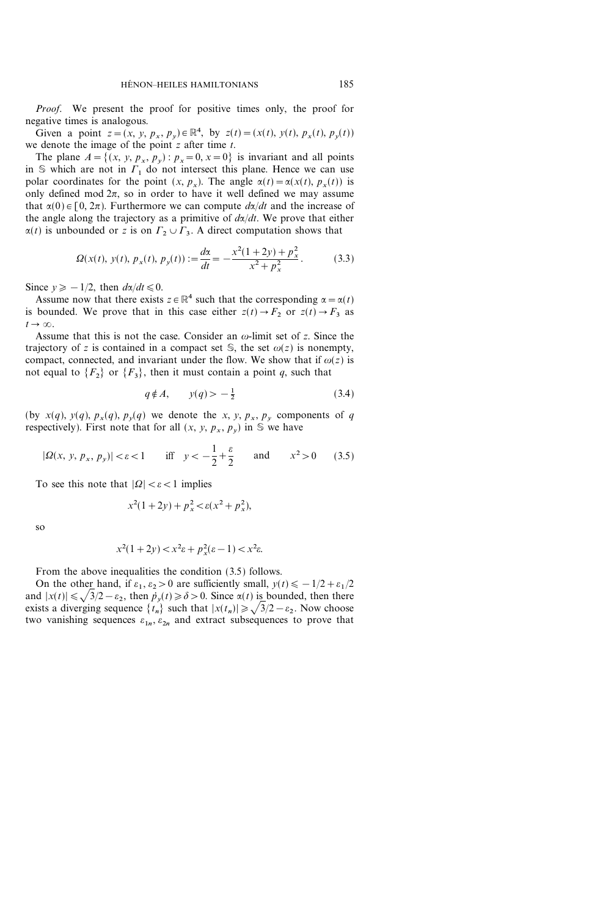Proof. We present the proof for positive times only, the proof for negative times is analogous.

Given a point  $z = (x, y, p_x, p_y) \in \mathbb{R}^4$ , by  $z(t) = (x(t), y(t), p_x(t), p_y(t))$ we denote the image of the point  $z$  after time  $t$ .

The plane  $A = \{(x, y, p_x, p_y) : p_x = 0, x = 0\}$  is invariant and all points in  $\mathcal S$  which are not in  $\Gamma_1$  do not intersect this plane. Hence we can use polar coordinates for the point  $(x, p_x)$ . The angle  $\alpha(t) = \alpha(x(t), p_x(t))$  is only defined mod  $2\pi$ , so in order to have it well defined we may assume that  $\alpha(0) \in [0, 2\pi)$ . Furthermore we can compute  $d\alpha/dt$  and the increase of the angle along the trajectory as a primitive of  $d\alpha/dt$ . We prove that either  $\alpha(t)$  is unbounded or z is on  $\Gamma_2 \cup \Gamma_3$ . A direct computation shows that

$$
\Omega(x(t), y(t), p_x(t), p_y(t)) := \frac{d\alpha}{dt} = -\frac{x^2(1+2y) + p_x^2}{x^2 + p_x^2}.
$$
 (3.3)

Since  $y \geq -1/2$ , then  $d\alpha/dt \leq 0$ .

Assume now that there exists  $z \in \mathbb{R}^4$  such that the corresponding  $\alpha = \alpha(t)$ is bounded. We prove that in this case either  $z(t) \rightarrow F_2$  or  $z(t) \rightarrow F_3$  as  $t\rightarrow\infty$ .

Assume that this is not the case. Consider an  $\omega$ -limit set of z. Since the trajectory of z is contained in a compact set  $\mathcal{S}$ , the set  $\omega(z)$  is nonempty, compact, connected, and invariant under the flow. We show that if  $\omega(z)$  is not equal to  $\{F_2\}$  or  $\{F_3\}$ , then it must contain a point q, such that

$$
q \notin A, \qquad y(q) > -\frac{1}{2} \tag{3.4}
$$

(by  $x(q)$ ,  $y(q)$ ,  $p_x(q)$ ,  $p_y(q)$  we denote the x, y,  $p_x$ ,  $p_y$  components of q respectively). First note that for all  $(x, y, p_x, p_y)$  in S we have

$$
|\Omega(x, y, p_x, p_y)| < \varepsilon < 1 \quad \text{iff} \quad y < -\frac{1}{2} + \frac{\varepsilon}{2} \quad \text{and} \quad x^2 > 0 \quad (3.5)
$$

To see this note that  $|Q| < \varepsilon < 1$  implies

$$
x^2(1+2y) + p_x^2 < \varepsilon(x^2 + p_x^2)
$$

so

$$
x^2(1+2y) < x^2\varepsilon + p_x^2(\varepsilon - 1) < x^2\varepsilon.
$$

From the above inequalities the condition (3.5) follows.

On the other hand, if  $\varepsilon_1$ ,  $\varepsilon_2>0$  are sufficiently small,  $y(t)\leq -1/2+\varepsilon_1/2$ and  $|x(t)| \leq \sqrt{3/2} - \varepsilon_2$ , then  $p_v(t) \geq \delta > 0$ . Since  $\alpha(t)$  is bounded, then there exists a diverging sequence  $\{t_n\}$  such that  $|x(t_n)| \geq \sqrt{3}/2 - \varepsilon_2$ . Now choose two vanishing sequences  $\varepsilon_{1n}$ ,  $\varepsilon_{2n}$  and extract subsequences to prove that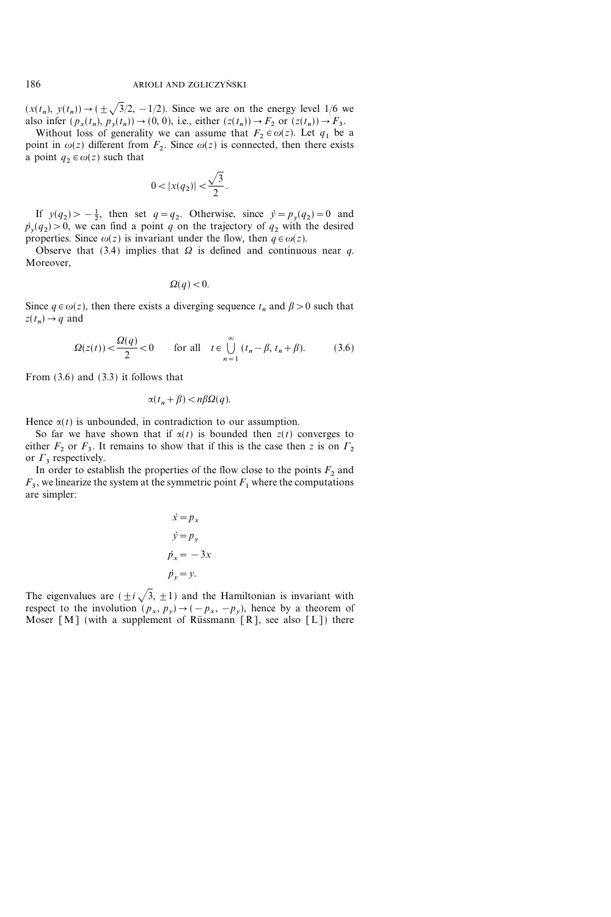$(x(t_n), y(t_n)) \rightarrow (\pm \sqrt{3}/2, -1/2)$ . Since we are on the energy level 1/6 we also infer  $(p_x(t_n), p_y(t_n)) \rightarrow (0, 0)$ , i.e., either  $(z(t_n)) \rightarrow F_2$  or  $(z(t_n)) \rightarrow F_3$ .

Without loss of generality we can assume that  $F_2 \in \omega(z)$ . Let  $q_1$  be a point in  $\omega(z)$  different from  $F<sub>2</sub>$ . Since  $\omega(z)$  is connected, then there exists a point  $q_2 \in \omega(z)$  such that

$$
0 < |x(q_2)| < \frac{\sqrt{3}}{2}.
$$

If  $y(q_2) > -\frac{1}{2}$ , then set  $q = q_2$ . Otherwise, since  $\dot{y} = p_y(q_2) = 0$  and  $\dot{p}_v(q_2) > 0$ , we can find a point q on the trajectory of  $q_2$  with the desired properties. Since  $\omega(z)$  is invariant under the flow, then  $q \in \omega(z)$ .

Observe that (3.4) implies that  $\Omega$  is defined and continuous near q. Moreover,

$$
\Omega(q)<0.
$$

Since  $q \in \omega(z)$ , then there exists a diverging sequence  $t_n$  and  $\beta > 0$  such that  $z(t_n) \rightarrow q$  and

$$
\Omega(z(t)) < \frac{\Omega(q)}{2} < 0 \qquad \text{for all} \quad t \in \bigcup_{n=1}^{\infty} (t_n - \beta, t_n + \beta). \tag{3.6}
$$

From (3.6) and (3.3) it follows that

$$
\alpha(t_n+\beta) < n\beta\Omega(q).
$$

Hence  $\alpha(t)$  is unbounded, in contradiction to our assumption.

So far we have shown that if  $\alpha(t)$  is bounded then  $z(t)$  converges to either  $F_2$  or  $F_3$ . It remains to show that if this is the case then z is on  $\Gamma_2$ or  $\Gamma_3$  respectively.

In order to establish the properties of the flow close to the points  $F_2$  and  $F_3$ , we linearize the system at the symmetric point  $F_1$  where the computations are simpler:

$$
\begin{aligned}\n\dot{x} &= p_x \\
\dot{y} &= p_y \\
\dot{p}_x &= -3x \\
\dot{p}_y &= y.\n\end{aligned}
$$

The eigenvalues are  $(\pm i \sqrt{3}, \pm 1)$  and the Hamiltonian is invariant with respect to the involution  $(p_x, p_y) \rightarrow (-p_x, -p_y)$ , hence by a theorem of Moser  $[M]$  (with a supplement of Rüssmann  $[R]$ , see also  $[L]$ ) there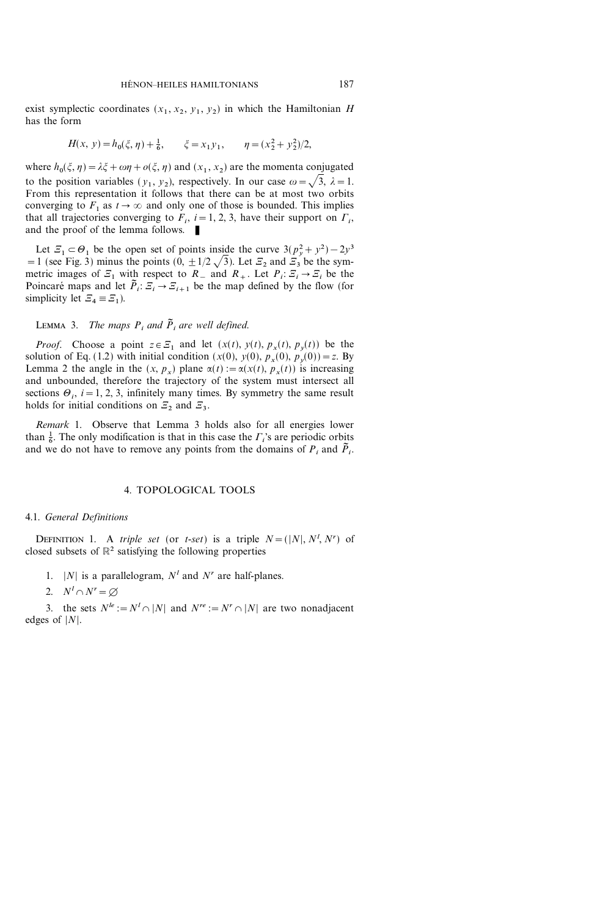exist symplectic coordinates  $(x_1, x_2, y_1, y_2)$  in which the Hamiltonian H has the form

$$
H(x, y) = h_0(\xi, \eta) + \frac{1}{6}, \qquad \xi = x_1 y_1, \qquad \eta = (x_2^2 + y_2^2)/2,
$$

where  $h_0(\xi, \eta) = \lambda \xi + \omega \eta + o(\xi, \eta)$  and  $(x_1, x_2)$  are the momenta conjugated to the position variables  $(y_1, y_2)$ , respectively. In our case  $\omega = \sqrt{3}, \lambda = 1$ . From this representation it follows that there can be at most two orbits converging to  $F_1$  as  $t \to \infty$  and only one of those is bounded. This implies that all trajectories converging to  $F_i$ ,  $i=1, 2, 3$ , have their support on  $\Gamma_i$ , and the proof of the lemma follows.  $\blacksquare$ 

Let  $\mathcal{Z}_1 \subset \Theta_1$  be the open set of points inside the curve  $3(p_y^2 + y^2) - 2y^3$ =1 (see Fig. 3) minus the points  $(0, \pm 1/2 \sqrt{3})$ . Let  $\mathcal{Z}_2$  and  $\mathcal{Z}_3$  be the symmetric images of  $\mathcal{Z}_1$  with respect to  $R_{-}$  and  $R_{+}$ . Let  $P_i : \mathcal{Z}_i \to \mathcal{Z}_i$  be the Poincaré maps and let  $\tilde{P}_i: \mathcal{Z}_i \to \mathcal{Z}_{i+1}$  be the map defined by the flow (for simplicity let  $\mathcal{Z}_4 \equiv \mathcal{Z}_1$ ).

# LEMMA 3. The maps  $P_i$  and  $\tilde{P}_i$  are well defined.

*Proof.* Choose a point  $z \in \mathcal{Z}_1$  and let  $(x(t), y(t), p_x(t), p_y(t))$  be the solution of Eq. (1.2) with initial condition  $(x(0), y(0), p_x(0), p_y(0)) = z$ . By Lemma 2 the angle in the  $(x, p_x)$  plane  $\alpha(t) := \alpha(x(t), p_x(t))$  is increasing and unbounded, therefore the trajectory of the system must intersect all sections  $\Theta_i$ ,  $i=1, 2, 3$ , infinitely many times. By symmetry the same result holds for initial conditions on  $\mathcal{Z}_2$  and  $\mathcal{Z}_3$ .

Remark 1. Observe that Lemma 3 holds also for all energies lower than  $\frac{1}{6}$ . The only modification is that in this case the  $\Gamma_i$ 's are periodic orbits and we do not have to remove any points from the domains of  $P_i$  and  $\tilde{P}_i$ .

# 4. TOPOLOGICAL TOOLS

#### 4.1. General Definitions

DEFINITION 1. A *triple set* (or *t-set*) is a triple  $N = (|N|, N^l, N^r)$  of closed subsets of  $\mathbb{R}^2$  satisfying the following properties

1. |N| is a parallelogram,  $N<sup>l</sup>$  and  $N<sup>r</sup>$  are half-planes.

2.  $N^l \cap N^r = \varnothing$ 

3. the sets  $N^{\prime e} := N^{\prime} \cap |N|$  and  $N^{\prime e} := N^{\prime} \cap |N|$  are two nonadjacent edges of  $|N|$ .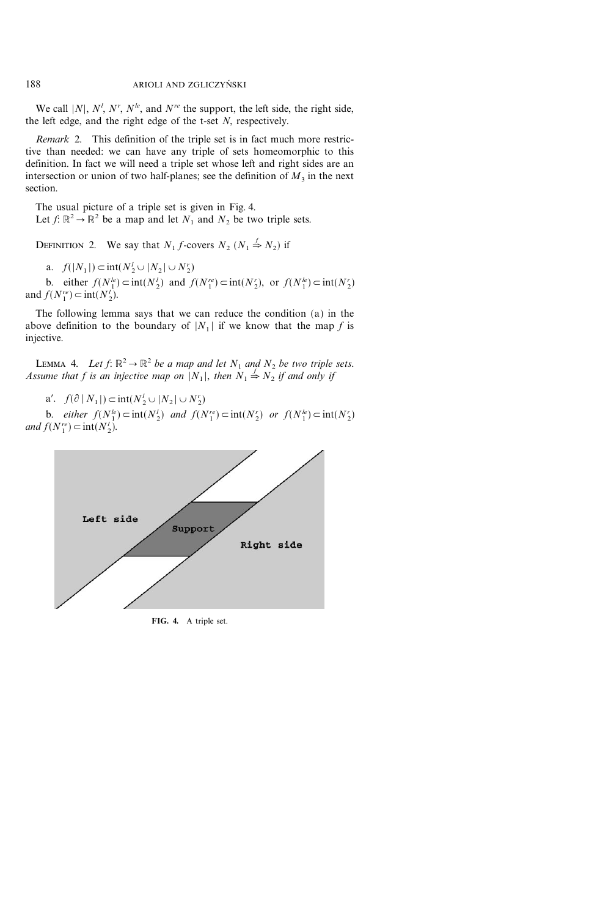We call |N|,  $N^l$ ,  $N^r$ ,  $N^{l_e}$ , and  $N^{re}$  the support, the left side, the right side, the left edge, and the right edge of the t-set  $N$ , respectively.

Remark 2. This definition of the triple set is in fact much more restrictive than needed: we can have any triple of sets homeomorphic to this definition. In fact we will need a triple set whose left and right sides are an intersection or union of two half-planes; see the definition of  $M_3$  in the next section.

The usual picture of a triple set is given in Fig. 4. Let  $f: \mathbb{R}^2 \to \mathbb{R}^2$  be a map and let  $N_1$  and  $N_2$  be two triple sets.

DEFINITION 2. We say that  $N_1 f$ -covers  $N_2 (N_1 \stackrel{f}{\Rightarrow} N_2)$  if

a.  $f(|N_1|) \subset \text{int}(N_2' \cup |N_2| \cup N_2')$ 

b. either  $f(N_1^{le}) \subset \text{int}(N_2^{le})$  and  $f(N_1^{re}) \subset \text{int}(N_2^{re})$ , or  $f(N_1^{le}) \subset \text{int}(N_2^{r})$ and  $f(N_1^{re}) \subset \text{int}(N_2^l)$ .

The following lemma says that we can reduce the condition (a) in the above definition to the boundary of  $|N_1|$  if we know that the map f is injective.

LEMMA 4. Let  $f: \mathbb{R}^2 \to \mathbb{R}^2$  be a map and let  $N_1$  and  $N_2$  be two triple sets. Assume that f is an injective map on  $|N_1|$ , then  $N_1 \stackrel{f}{\Rightarrow} N_2$  if and only if

a'.  $f(\partial | N_1|) \subset \text{int}(N_2' \cup |N_2| \cup N_2')$ 

b. either  $f(N_1^{\prime e}) \subset \text{int}(N_2^{\prime e})$  and  $f(N_1^{\prime e}) \subset \text{int}(N_2^{\prime e})$  or  $f(N_1^{\prime e}) \subset \text{int}(N_2^{\prime e})$ and  $f(N_1^{re}) \subset \text{int}(N_2^l)$ .



FIG. 4. A triple set.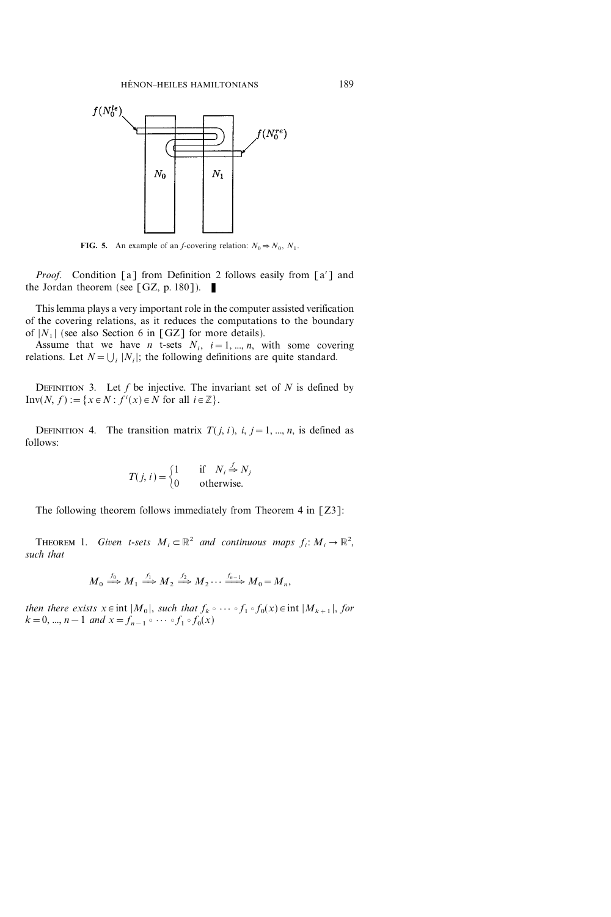

FIG. 5. An example of an *f*-covering relation:  $N_0 \Rightarrow N_0$ ,  $N_1$ .

*Proof.* Condition [a] from Definition 2 follows easily from  $[a']$  and the Jordan theorem (see [GZ, p. 180]).

This lemma plays a very important role in the computer assisted verification of the covering relations, as it reduces the computations to the boundary of  $|N_1|$  (see also Section 6 in [GZ] for more details).

Assume that we have *n* t-sets  $N_i$ ,  $i=1, ..., n$ , with some covering relations. Let  $N = \bigcup_i |N_i|$ ; the following definitions are quite standard.

DEFINITION 3. Let  $f$  be injective. The invariant set of  $N$  is defined by  $Inv(N, f) := \{x \in N : f^{i}(x) \in N \text{ for all } i \in \mathbb{Z}\}.$ 

DEFINITION 4. The transition matrix  $T(j, i)$ ,  $i, j = 1, ..., n$ , is defined as follows:

$$
T(j, i) = \begin{cases} 1 & \text{if } N_i \stackrel{f}{\Rightarrow} N_j \\ 0 & \text{otherwise.} \end{cases}
$$

The following theorem follows immediately from Theorem 4 in [Z3]:

**THEOREM** 1. Given *t*-sets  $M_i \subset \mathbb{R}^2$  and continuous maps  $f_i : M_i \to \mathbb{R}^2$ , such that

$$
M_0 \stackrel{f_0}{\Longrightarrow} M_1 \stackrel{f_1}{\Longrightarrow} M_2 \stackrel{f_2}{\Longrightarrow} M_2 \cdots \stackrel{f_{n-1}}{\Longrightarrow} M_0 = M_n,
$$

then there exists  $x \in \text{int } |M_0|$ , such that  $f_k \circ \cdots \circ f_1 \circ f_0(x) \in \text{int } |M_{k+1}|$ , for  $k = 0, ..., n-1$  and  $x = f_{n-1} \circ \cdots \circ f_1 \circ f_0(x)$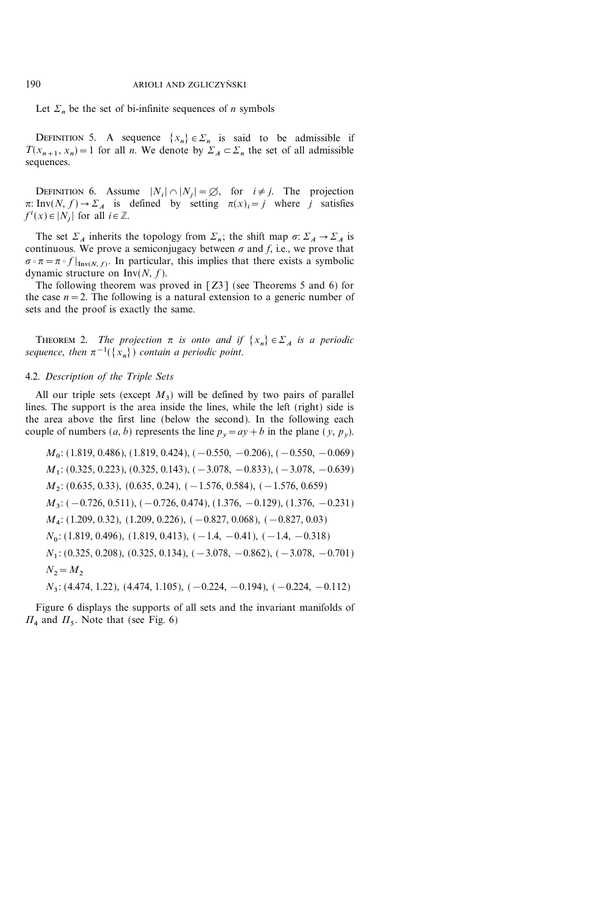Let  $\Sigma_n$  be the set of bi-infinite sequences of *n* symbols

DEFINITION 5. A sequence  $\{x_n\} \in \Sigma_n$  is said to be admissible if  $T(x_{n+1}, x_n) = 1$  for all *n*. We denote by  $\Sigma_A \subset \Sigma_n$  the set of all admissible sequences.

DEFINITION 6. Assume  $|N_i| \cap |N_j| = \emptyset$ , for  $i \neq j$ . The projection  $\pi: Inv(N, f) \to \Sigma_A$  is defined by setting  $\pi(x)_i = j$  where j satisfies  $f^i(x) \in |N_j|$  for all  $i \in \mathbb{Z}$ .

The set  $\Sigma_A$  inherits the topology from  $\Sigma_n$ ; the shift map  $\sigma: \Sigma_A \to \Sigma_A$  is continuous. We prove a semiconjugacy between  $\sigma$  and f, i.e., we prove that  $\sigma \circ \pi = \pi \circ f |_{Inv(N, f)}$ . In particular, this implies that there exists a symbolic dynamic structure on  $Inv(N, f)$ .

The following theorem was proved in [Z3] (see Theorems 5 and 6) for the case  $n=2$ . The following is a natural extension to a generic number of sets and the proof is exactly the same.

THEOREM 2. The projection  $\pi$  is onto and if  $\{x_n\} \in \Sigma_A$  is a periodic sequence, then  $\pi^{-1}(\{x_n\})$  contain a periodic point.

#### 4.2. Description of the Triple Sets

All our triple sets (except  $M_3$ ) will be defined by two pairs of parallel lines. The support is the area inside the lines, while the left (right) side is the area above the first line (below the second). In the following each couple of numbers  $(a, b)$  represents the line  $p_y=ay+b$  in the plane  $(y, p_y)$ .

$$
M_0
$$
: (1.819, 0.486), (1.819, 0.424), (-0.550, -0.206), (-0.550, -0.069)  
\n $M_1$ : (0.325, 0.223), (0.325, 0.143), (-3.078, -0.833), (-3.078, -0.639)  
\n $M_2$ : (0.635, 0.33), (0.635, 0.24), (-1.576, 0.584), (-1.576, 0.659)  
\n $M_3$ : (-0.726, 0.511), (-0.726, 0.474), (1.376, -0.129), (1.376, -0.231)  
\n $M_4$ : (1.209, 0.32), (1.209, 0.226), (-0.827, 0.068), (-0.827, 0.03)  
\n $N_0$ : (1.819, 0.496), (1.819, 0.413), (-1.4, -0.41), (-1.4, -0.318)  
\n $N_1$ : (0.325, 0.208), (0.325, 0.134), (-3.078, -0.862), (-3.078, -0.701)  
\n $N_2 = M_2$   
\n $N_3$ : (4.474, 1.22), (4.474, 1.105), (-0.224, -0.194), (-0.224, -0.112)

Figure 6 displays the supports of all sets and the invariant manifolds of  $\Pi_4$  and  $\Pi_5$ . Note that (see Fig. 6)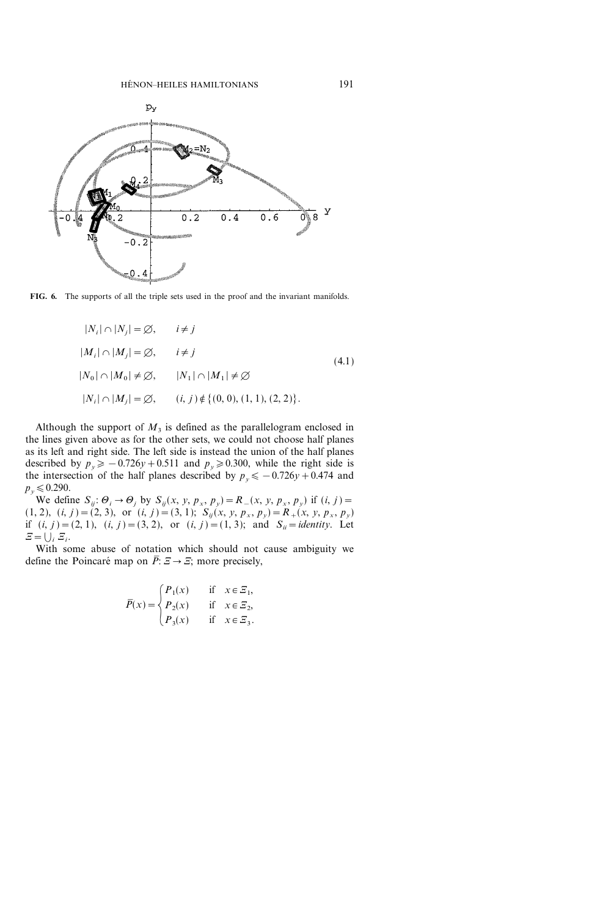

FIG. 6. The supports of all the triple sets used in the proof and the invariant manifolds.

$$
|N_i| \cap |N_j| = \emptyset, \t i \neq j
$$
  
\n
$$
|M_i| \cap |M_j| = \emptyset, \t i \neq j
$$
  
\n
$$
|N_0| \cap |M_0| \neq \emptyset, \t |N_1| \cap |M_1| \neq \emptyset
$$
  
\n
$$
|N_i| \cap |M_j| = \emptyset, \t (i, j) \notin \{(0, 0), (1, 1), (2, 2)\}.
$$
 (4.1)

Although the support of  $M_3$  is defined as the parallelogram enclosed in the lines given above as for the other sets, we could not choose half planes as its left and right side. The left side is instead the union of the half planes described by  $p_y \geq -0.726y+0.511$  and  $p_y \geq 0.300$ , while the right side is the intersection of the half planes described by  $p_y \leq -0.726y +0.474$  and  $p_v \le 0.290$ .

We define  $S_{ij}$ :  $\Theta_i \rightarrow \Theta_j$  by  $S_{ij}(x, y, p_x, p_y) = R(x, y, p_x, p_y)$  if  $(i, j)$ (1, 2), (i, j ) = (2, 3), or (i, j ) = (3, 1);  $S_{ij}(x, y, p_x, p_y) = R_+(x, y, p_x, p_y)$ if  $(i, j) = (2, 1), (i, j) = (3, 2),$  or  $(i, j) = (1, 3)$ ; and  $S_{ii} = identity$ . Let  $E = \bigcup_i E_i$ .

With some abuse of notation which should not cause ambiguity we define the Poincaré map on  $\overline{P}$ :  $\Xi \rightarrow \Xi$ ; more precisely,

$$
\overline{P}(x) = \begin{cases} P_1(x) & \text{if } x \in \mathcal{Z}_1, \\ P_2(x) & \text{if } x \in \mathcal{Z}_2, \\ P_3(x) & \text{if } x \in \mathcal{Z}_3. \end{cases}
$$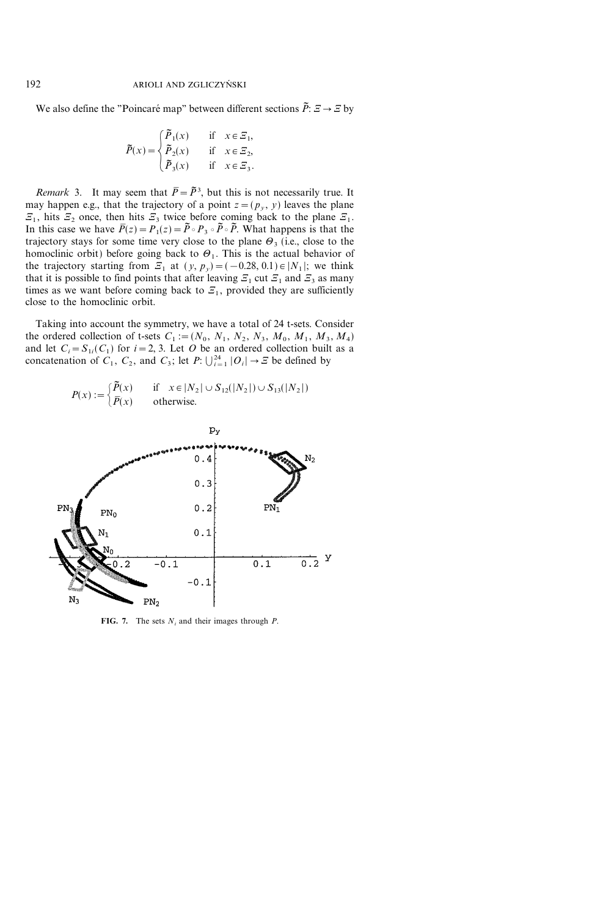We also define the "Poincaré map" between different sections  $\tilde{P}: \Xi \to \Xi$  by

$$
\widetilde{P}(x) = \begin{cases}\n\widetilde{P}_1(x) & \text{if } x \in \mathbb{Z}_1, \\
\widetilde{P}_2(x) & \text{if } x \in \mathbb{Z}_2, \\
\widetilde{P}_3(x) & \text{if } x \in \mathbb{Z}_3.\n\end{cases}
$$

*Remark* 3. It may seem that  $\overline{P} = \overline{P}^3$ , but this is not necessarily true. It may happen e.g., that the trajectory of a point  $z=(p_y, y)$  leaves the plane  $\mathcal{Z}_1$ , hits  $\mathcal{Z}_2$  once, then hits  $\mathcal{Z}_3$  twice before coming back to the plane  $\mathcal{Z}_1$ . In this case we have  $\overline{P}(z)=P_1(z)=\overline{P}\circ P_3\circ \overline{P}\circ P_1$ . What happens is that the trajectory stays for some time very close to the plane  $\Theta_3$  (i.e., close to the homoclinic orbit) before going back to  $\Theta_1$ . This is the actual behavior of the trajectory starting from  $\mathcal{Z}_1$  at  $(y, p_y) = (-0.28, 0.1) \in |N_1|$ ; we think that it is possible to find points that after leaving  $\mathcal{Z}_1$  cut  $\mathcal{Z}_1$  and  $\mathcal{Z}_3$  as many times as we want before coming back to  $E_1$ , provided they are sufficiently close to the homoclinic orbit.

Taking into account the symmetry, we have a total of 24 t-sets. Consider the ordered collection of t-sets  $C_1 := (N_0, N_1, N_2, N_3, M_0, M_1, M_3, M_4)$ and let  $C_i = S_{1i}(C_1)$  for  $i = 2, 3$ . Let O be an ordered collection built as a concatenation of  $C_1$ ,  $C_2$ , and  $C_3$ ; let  $P: \bigcup_{i=1}^{24} |O_i| \to \varXi$  be defined by



FIG. 7. The sets  $N_i$  and their images through P.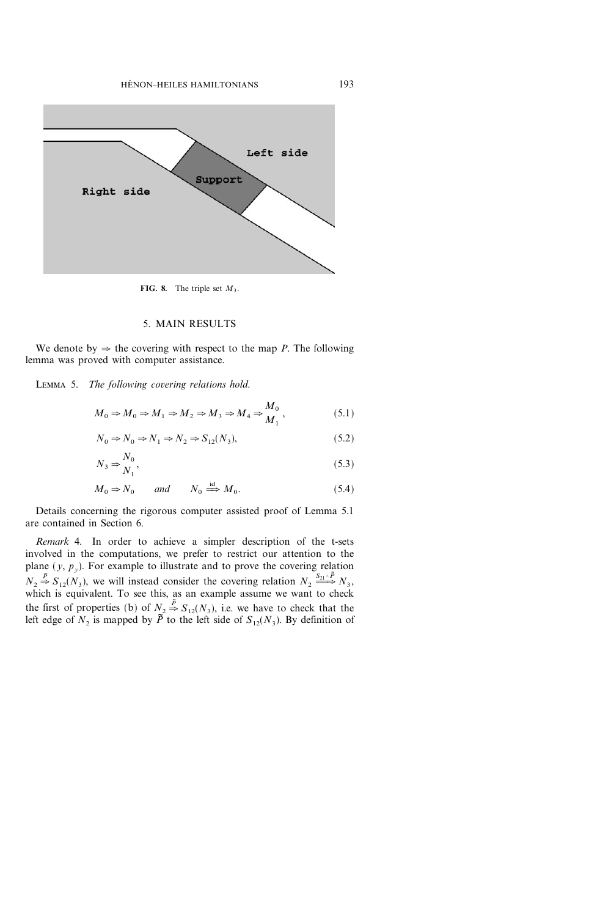

FIG. 8. The triple set  $M_3$ .

# 5. MAIN RESULTS

We denote by  $\Rightarrow$  the covering with respect to the map P. The following lemma was proved with computer assistance.

LEMMA 5. The following covering relations hold.

$$
M_0 \Rightarrow M_0 \Rightarrow M_1 \Rightarrow M_2 \Rightarrow M_3 \Rightarrow M_4 \Rightarrow \frac{M_0}{M_1},
$$
\n(5.1)

$$
N_0 \Rightarrow N_0 \Rightarrow N_1 \Rightarrow N_2 \Rightarrow S_{12}(N_3),\tag{5.2}
$$

$$
N_3 \Rightarrow_{N_1}^{N_0},\tag{5.3}
$$

$$
M_0 \Rightarrow N_0 \qquad and \qquad N_0 \stackrel{\text{id}}{\Longrightarrow} M_0. \tag{5.4}
$$

Details concerning the rigorous computer assisted proof of Lemma 5.1 are contained in Section 6.

Remark 4. In order to achieve a simpler description of the t-sets involved in the computations, we prefer to restrict our attention to the plane  $(y, p_y)$ . For example to illustrate and to prove the covering relation  $N_2 \stackrel{\tilde{P}}{\Rightarrow} S_{12}(N_3)$ , we will instead consider the covering relation  $N_2 \stackrel{S_{21} \circ \tilde{P}}{\Longrightarrow} N_3$ , which is equivalent. To see this, as an example assume we want to check the first of properties (b) of  $N_2 \stackrel{\tilde{P}}{\Rightarrow} S_{12}(N_3)$ , i.e. we have to check that the left edge of  $N_2$  is mapped by  $\tilde{P}$  to the left side of  $S_{12}(N_3)$ . By definition of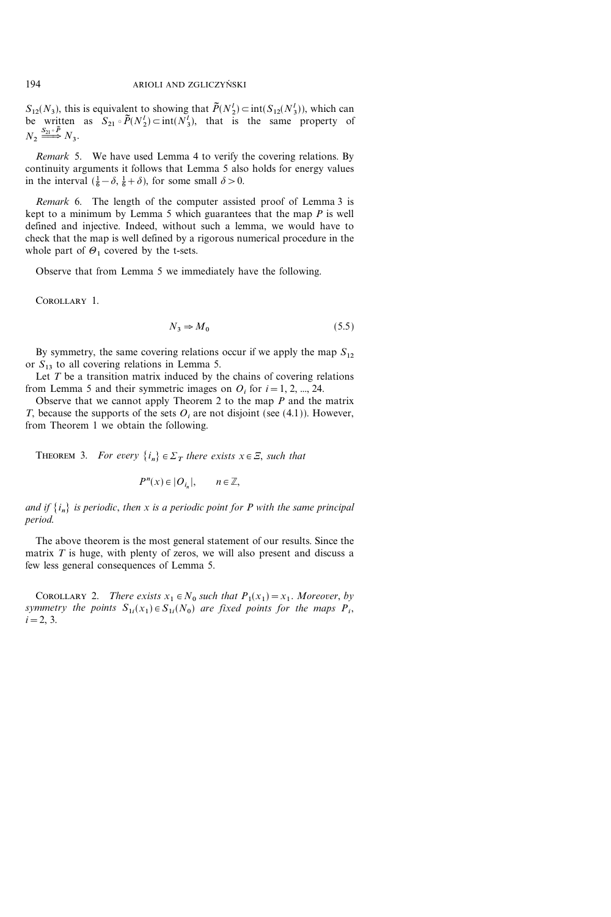$S_{12}(N_3)$ , this is equivalent to showing that  $\tilde{P}(N_2^l) \subset \text{int}(S_{12}(N_3^l))$ , which can be written as  $S_{21} \circ \tilde{P}(N_2^l) \subset \text{int}(N_3^l)$ , that is the same property of  $N_2 \stackrel{S_{21} \circ \tilde{P}}{\Longrightarrow} N_3.$ 

Remark 5. We have used Lemma 4 to verify the covering relations. By continuity arguments it follows that Lemma 5 also holds for energy values in the interval  $(\frac{1}{6} - \delta, \frac{1}{6} + \delta)$ , for some small  $\delta > 0$ .

Remark 6. The length of the computer assisted proof of Lemma 3 is kept to a minimum by Lemma 5 which guarantees that the map  $P$  is well defined and injective. Indeed, without such a lemma, we would have to check that the map is well defined by a rigorous numerical procedure in the whole part of  $\Theta_1$  covered by the t-sets.

Observe that from Lemma 5 we immediately have the following.

Corollary 1.

$$
N_3 \Rightarrow M_0 \tag{5.5}
$$

By symmetry, the same covering relations occur if we apply the map  $S_{12}$ or  $S_{13}$  to all covering relations in Lemma 5.

Let  $T$  be a transition matrix induced by the chains of covering relations from Lemma 5 and their symmetric images on  $O_i$  for  $i = 1, 2, ..., 24$ .

Observe that we cannot apply Theorem 2 to the map  $P$  and the matrix T, because the supports of the sets  $O_i$  are not disjoint (see (4.1)). However, from Theorem 1 we obtain the following.

THEOREM 3. For every  $\{i_n\} \in \Sigma_T$  there exists  $x \in \Xi$ , such that

$$
P^n(x) \in |O_{i_n}|, \qquad n \in \mathbb{Z},
$$

and if  $\{i_n\}$  is periodic, then x is a periodic point for P with the same principal period.

The above theorem is the most general statement of our results. Since the matrix  $T$  is huge, with plenty of zeros, we will also present and discuss a few less general consequences of Lemma 5.

COROLLARY 2. There exists  $x_1 \in N_0$  such that  $P_1(x_1) = x_1$ . Moreover, by symmetry the points  $S_{1i}(x_1) \in S_{1i}(N_0)$  are fixed points for the maps  $P_i$ ,  $i=2, 3.$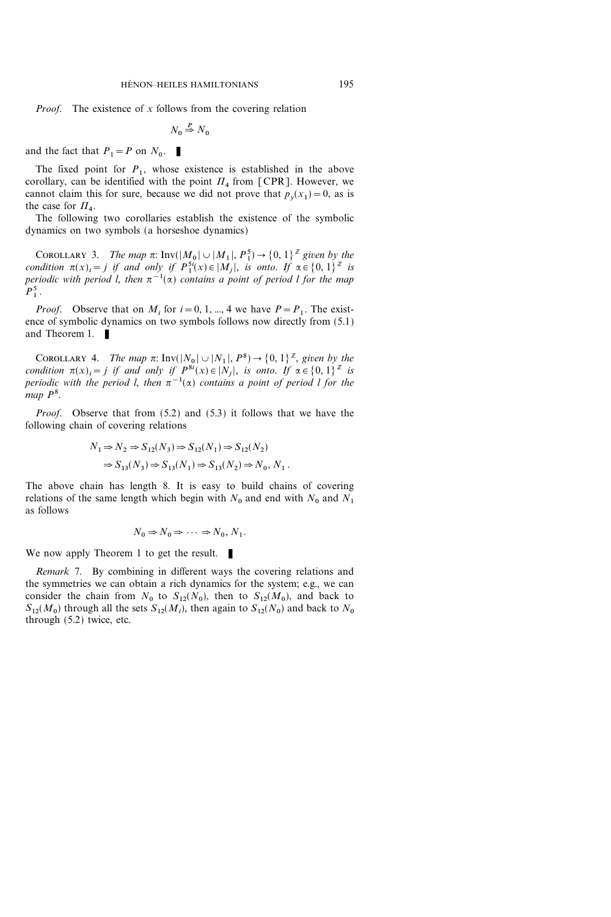*Proof.* The existence of x follows from the covering relation

$$
N_0 \stackrel{P}{\Rightarrow} N_0
$$

and the fact that  $P_1 = P$  on  $N_0$ .

The fixed point for  $P_1$ , whose existence is established in the above corollary, can be identified with the point  $\Pi_4$  from [CPR]. However, we cannot claim this for sure, because we did not prove that  $p_y(x_1)=0$ , as is the case for  $\Pi_4$ .

The following two corollaries establish the existence of the symbolic dynamics on two symbols (a horseshoe dynamics)

COROLLARY 3. The map  $\pi$ : Inv $(|M_0| \cup |M_1|, P_1^5) \rightarrow \{0, 1\}^{\mathbb{Z}}$  given by the condition  $\pi(x)_i = j$  if and only if  $P_1^{5i}(x) \in |M_j|$ , is onto. If  $\alpha \in \{0, 1\}^{\mathbb{Z}}$  is periodic with period l, then  $\pi^{-1}(\alpha)$  contains a point of period l for the map  $P_1^5$ .

*Proof.* Observe that on  $M_i$  for  $i=0, 1, ..., 4$  we have  $P=P_1$ . The existence of symbolic dynamics on two symbols follows now directly from (5.1) and Theorem 1.  $\blacksquare$ 

COROLLARY 4. The map  $\pi$ : Inv $(|N_0| \cup |N_1|, P^8) \rightarrow \{0, 1\}^{\mathbb{Z}}$ , given by the condition  $\pi(x)_i = j$  if and only if  $P^{8i}(x) \in |N_j|$ , is onto. If  $\alpha \in \{0, 1\}^{\mathbb{Z}}$  is periodic with the period l, then  $\pi^{-1}(\alpha)$  contains a point of period l for the map  $P^8$ .

Proof. Observe that from  $(5.2)$  and  $(5.3)$  it follows that we have the following chain of covering relations

$$
\begin{split} N_1 \mathop{\Rightarrow} N_2 &\Rightarrow S_{12}(N_3) \mathop{\Rightarrow} S_{12}(N_1) \mathop{\Rightarrow} S_{12}(N_2) \\ &\Rightarrow S_{13}(N_3) \mathop{\Rightarrow} S_{13}(N_1) \mathop{\Rightarrow} S_{13}(N_2) \mathop{\Rightarrow} N_0,\, N_1\,. \end{split}
$$

The above chain has length 8. It is easy to build chains of covering relations of the same length which begin with  $N_0$  and end with  $N_0$  and  $N_1$ as follows

$$
N_0 \Rightarrow N_0 \Rightarrow \cdots \Rightarrow N_0, N_1.
$$

We now apply Theorem 1 to get the result.  $\blacksquare$ 

Remark 7. By combining in different ways the covering relations and the symmetries we can obtain a rich dynamics for the system; e.g., we can consider the chain from  $N_0$  to  $S_{12}(N_0)$ , then to  $S_{12}(M_0)$ , and back to  $S_{12}(M_0)$  through all the sets  $S_{12}(M_i)$ , then again to  $S_{12}(N_0)$  and back to  $N_0$ through (5.2) twice, etc.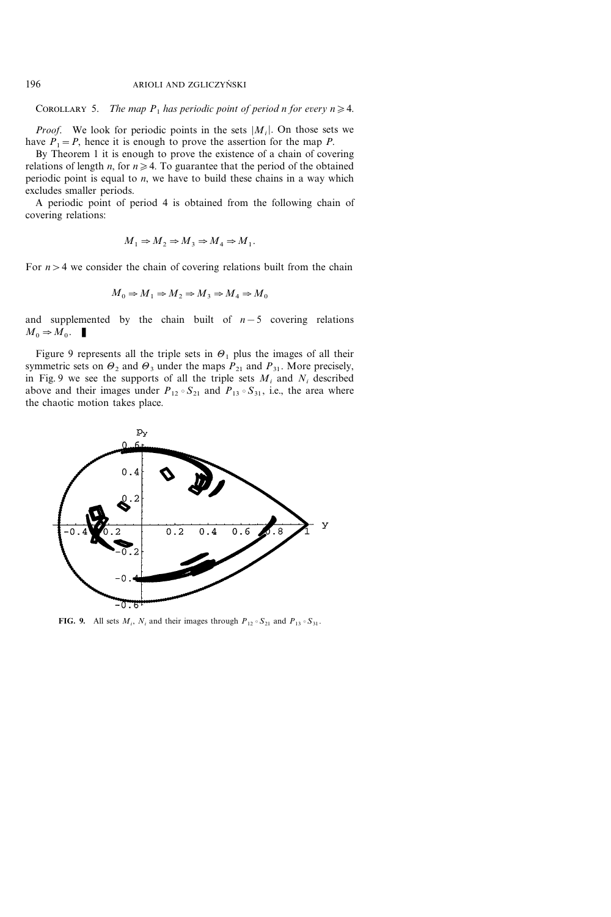COROLLARY 5. The map  $P_1$  has periodic point of period n for every  $n \geq 4$ .

*Proof.* We look for periodic points in the sets  $|M_i|$ . On those sets we have  $P_1 = P$ , hence it is enough to prove the assertion for the map P.

By Theorem 1 it is enough to prove the existence of a chain of covering relations of length *n*, for  $n \ge 4$ . To guarantee that the period of the obtained periodic point is equal to  $n$ , we have to build these chains in a way which excludes smaller periods.

A periodic point of period 4 is obtained from the following chain of covering relations:

$$
M_1 \Rightarrow M_2 \Rightarrow M_3 \Rightarrow M_4 \Rightarrow M_1.
$$

For  $n>4$  we consider the chain of covering relations built from the chain

$$
M_0 \Rightarrow M_1 \Rightarrow M_2 \Rightarrow M_3 \Rightarrow M_4 \Rightarrow M_0
$$

and supplemented by the chain built of  $n-5$  covering relations  $M_0 \Rightarrow M_0$ .

Figure 9 represents all the triple sets in  $\Theta_1$  plus the images of all their symmetric sets on  $\Theta_2$  and  $\Theta_3$  under the maps  $P_{21}$  and  $P_{31}$ . More precisely, in Fig. 9 we see the supports of all the triple sets  $M_i$  and  $N_i$  described above and their images under  $P_{12} \circ S_{21}$  and  $P_{13} \circ S_{31}$ , i.e., the area where the chaotic motion takes place.



**FIG. 9.** All sets  $M_i$ ,  $N_i$  and their images through  $P_{12} \circ S_{21}$  and  $P_{13} \circ S_{31}$ .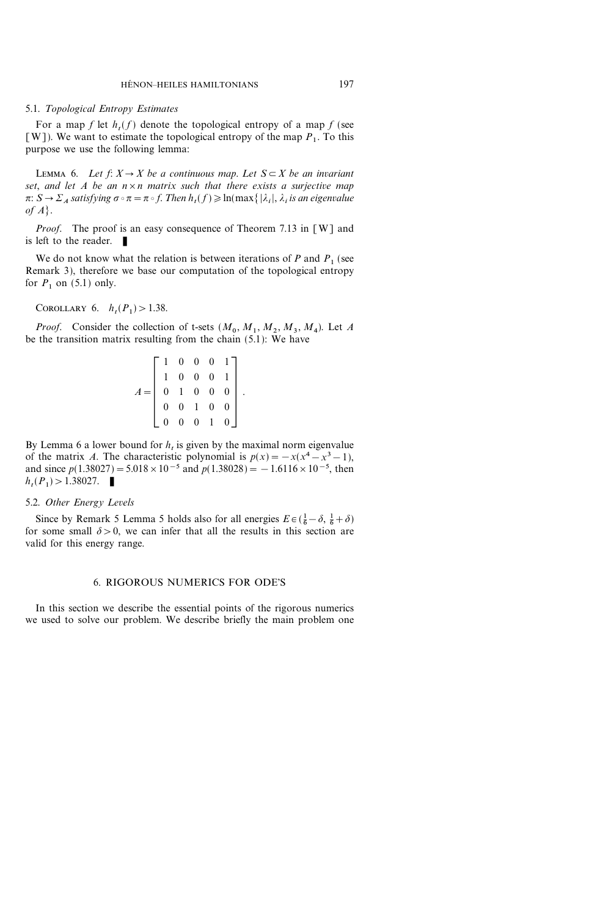#### 5.1. Topological Entropy Estimates

For a map f let  $h_t(f)$  denote the topological entropy of a map f (see [W]). We want to estimate the topological entropy of the map  $P_1$ . To this purpose we use the following lemma:

LEMMA 6. Let  $f: X \to X$  be a continuous map. Let  $S \subset X$  be an invariant set, and let A be an  $n \times n$  matrix such that there exists a surjective map  $\pi: S \to \Sigma_A$  satisfying  $\sigma \circ \pi = \pi \circ f$ . Then  $h_t(f) \geqslant \ln(\max\{|\lambda_i|, \lambda_i \text{ is an eigenvalue}\})$ of  $A$ .

*Proof.* The proof is an easy consequence of Theorem 7.13 in [W] and is left to the reader.

We do not know what the relation is between iterations of P and  $P_1$  (see Remark 3), therefore we base our computation of the topological entropy for  $P_1$  on (5.1) only.

COROLLARY 6.  $h_t(P_1) > 1.38$ .

*Proof.* Consider the collection of t-sets  $(M_0, M_1, M_2, M_3, M_4)$ . Let A be the transition matrix resulting from the chain (5.1): We have

$$
A = \begin{bmatrix} 1 & 0 & 0 & 0 & 1 \\ 1 & 0 & 0 & 0 & 1 \\ 0 & 1 & 0 & 0 & 0 \\ 0 & 0 & 1 & 0 & 0 \\ 0 & 0 & 0 & 1 & 0 \end{bmatrix}
$$

.

By Lemma 6 a lower bound for  $h_t$  is given by the maximal norm eigenvalue of the matrix A. The characteristic polynomial is  $p(x) = -x(x^4 - x^3 - 1)$ , and since  $p(1.38027)=5.018\times10^{-5}$  and  $p(1.38028)=-1.6116\times10^{-5}$ , then  $h_t(P_1) > 1.38027.$ 

#### 5.2. Other Energy Levels

Since by Remark 5 Lemma 5 holds also for all energies  $E \in (\frac{1}{6} - \delta, \frac{1}{6} + \delta)$ for some small  $\delta > 0$ , we can infer that all the results in this section are valid for this energy range.

# 6. RIGOROUS NUMERICS FOR ODE'S

In this section we describe the essential points of the rigorous numerics we used to solve our problem. We describe briefly the main problem one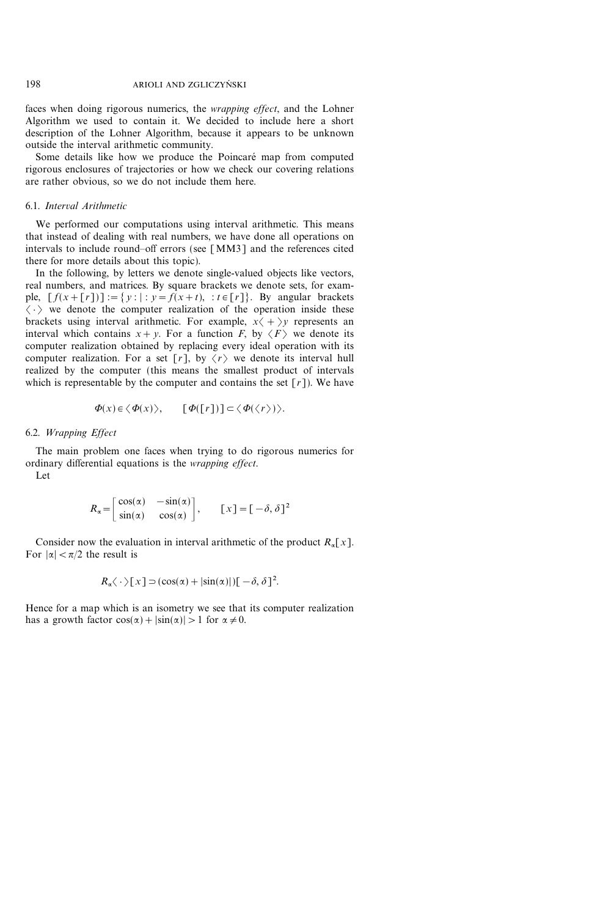faces when doing rigorous numerics, the wrapping effect, and the Lohner Algorithm we used to contain it. We decided to include here a short description of the Lohner Algorithm, because it appears to be unknown outside the interval arithmetic community.

Some details like how we produce the Poincaré map from computed rigorous enclosures of trajectories or how we check our covering relations are rather obvious, so we do not include them here.

# 6.1. Interval Arithmetic

We performed our computations using interval arithmetic. This means that instead of dealing with real numbers, we have done all operations on intervals to include round-off errors (see  $[MM3]$  and the references cited there for more details about this topic).

In the following, by letters we denote single-valued objects like vectors, real numbers, and matrices. By square brackets we denote sets, for example,  $[f(x+[r])] := \{ y : |: y = f(x+t), : t \in [r] \}.$  By angular brackets  $\langle \cdot \rangle$  we denote the computer realization of the operation inside these brackets using interval arithmetic. For example,  $x \langle + \rangle y$  represents an interval which contains  $x+y$ . For a function F, by  $\langle F \rangle$  we denote its computer realization obtained by replacing every ideal operation with its computer realization. For a set  $\lceil r \rceil$ , by  $\langle r \rangle$  we denote its interval hull realized by the computer (this means the smallest product of intervals which is representable by the computer and contains the set  $\lceil r \rceil$ ). We have

$$
\Phi(x) \in \langle \Phi(x) \rangle, \qquad [\Phi([r])] \subset \langle \Phi(\langle r \rangle) \rangle.
$$

# 6.2. Wrapping Effect

The main problem one faces when trying to do rigorous numerics for ordinary differential equations is the wrapping effect.

Let

$$
R_{\alpha} = \begin{bmatrix} \cos(\alpha) & -\sin(\alpha) \\ \sin(\alpha) & \cos(\alpha) \end{bmatrix}, \qquad [x] = [-\delta, \delta]^2
$$

Consider now the evaluation in interval arithmetic of the product  $R_{\alpha}[x]$ . For  $|\alpha| < \pi/2$  the result is

$$
R_{\alpha}\langle \cdot \rangle [x] \supset (\cos(\alpha) + |\sin(\alpha)|)[-\delta, \delta]^2.
$$

Hence for a map which is an isometry we see that its computer realization has a growth factor  $cos(\alpha) + |sin(\alpha)| > 1$  for  $\alpha \neq 0$ .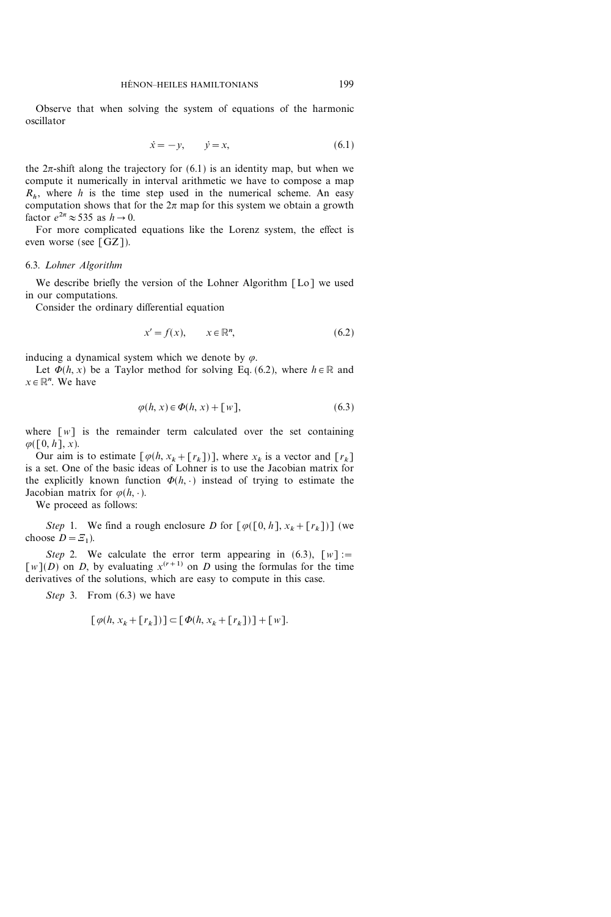Observe that when solving the system of equations of the harmonic oscillator

$$
\dot{x} = -y, \qquad \dot{y} = x,\tag{6.1}
$$

the  $2\pi$ -shift along the trajectory for (6.1) is an identity map, but when we compute it numerically in interval arithmetic we have to compose a map  $R<sub>k</sub>$ , where h is the time step used in the numerical scheme. An easy computation shows that for the  $2\pi$  map for this system we obtain a growth factor  $e^{2\pi} \approx 535$  as  $h \to 0$ .

For more complicated equations like the Lorenz system, the effect is even worse (see [GZ]).

#### 6.3. Lohner Algorithm

We describe briefly the version of the Lohner Algorithm [Lo] we used in our computations.

Consider the ordinary differential equation

$$
x' = f(x), \qquad x \in \mathbb{R}^n, \tag{6.2}
$$

inducing a dynamical system which we denote by  $\varphi$ .

Let  $\Phi(h, x)$  be a Taylor method for solving Eq. (6.2), where  $h \in \mathbb{R}$  and  $x \in \mathbb{R}^n$ . We have

$$
\varphi(h, x) \in \Phi(h, x) + [w], \tag{6.3}
$$

where  $[w]$  is the remainder term calculated over the set containing  $\varphi([0, h], x)$ .

Our aim is to estimate  $[\varphi(h, x_k + [r_k])]$ , where  $x_k$  is a vector and  $[r_k]$ is a set. One of the basic ideas of Lohner is to use the Jacobian matrix for the explicitly known function  $\Phi(h, \cdot)$  instead of trying to estimate the Jacobian matrix for  $\varphi(h, \cdot)$ .

We proceed as follows:

Step 1. We find a rough enclosure D for  $\lceil \varphi([0, h], x_k + [r_k]) \rceil$  (we choose  $D=\mathcal{Z}_1$ ).

Step 2. We calculate the error term appearing in (6.3),  $\lceil w \rceil$ :=  $[w](D)$  on D, by evaluating  $x^{(r+1)}$  on D using the formulas for the time derivatives of the solutions, which are easy to compute in this case.

Step 3. From  $(6.3)$  we have

$$
[\varphi(h, x_k + [r_k])] \subset [\varPhi(h, x_k + [r_k])] + [w].
$$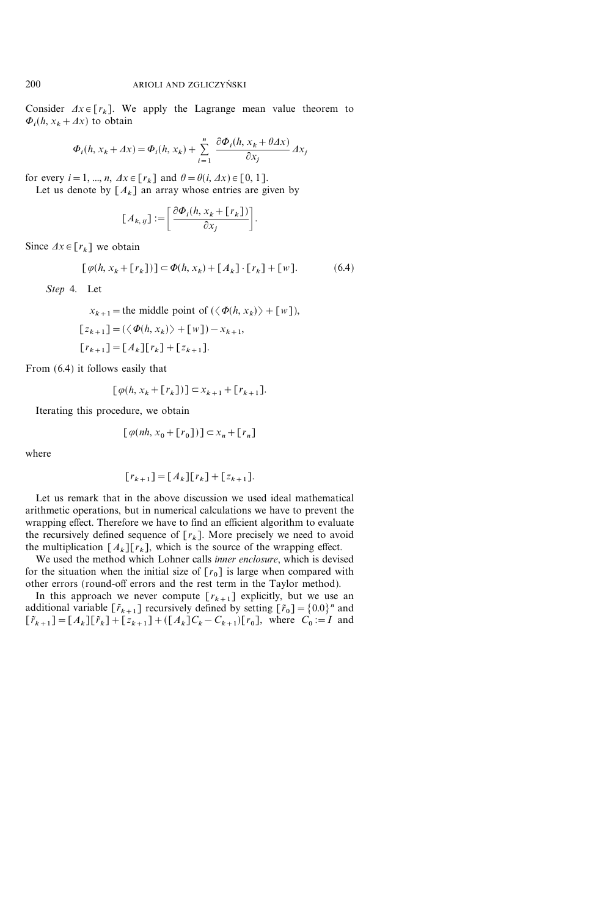Consider  $\Delta x \in [r_k]$ . We apply the Lagrange mean value theorem to  $\Phi_i(h, x_k + \Delta x)$  to obtain

$$
\Phi_i(h, x_k + \Delta x) = \Phi_i(h, x_k) + \sum_{i=1}^n \frac{\partial \Phi_i(h, x_k + \theta \Delta x)}{\partial x_j} \Delta x_j
$$

for every  $i=1, ..., n$ ,  $\Delta x \in [r_k]$  and  $\theta = \theta(i, \Delta x) \in [0, 1]$ .

Let us denote by  $[A_k]$  an array whose entries are given by

$$
[A_{k, ij}] := \left[ \frac{\partial \Phi_i(h, x_k + [r_k])}{\partial x_j} \right].
$$

Since  $\Delta x \in [r_k]$  we obtain

$$
[\varphi(h, x_k + [r_k])] \subset \Phi(h, x_k) + [A_k] \cdot [r_k] + [w]. \tag{6.4}
$$

Step 4. Let

 $x_{k+1}$  = the middle point of  $(\langle \Phi(h, x_k) \rangle + [w]),$  $[1-(\sqrt{6}(l, x)) + [0, 1)]$ 

$$
\lfloor z_{k+1} \rfloor = (\langle \Phi(h, x_k) \rangle + \lfloor w \rfloor) - x_{k+1},
$$
  

$$
\lfloor r_{k+1} \rfloor = \lfloor A_k \rfloor \lfloor r_k \rfloor + \lfloor z_{k+1} \rfloor.
$$

From (6.4) it follows easily that

$$
[\varphi(h, x_k + [r_k])] \subset x_{k+1} + [r_{k+1}].
$$

Iterating this procedure, we obtain

$$
[\varphi(nh, x_0 + [r_0])] \subset x_n + [r_n]
$$

where

$$
[r_{k+1}] = [A_k][r_k] + [z_{k+1}].
$$

Let us remark that in the above discussion we used ideal mathematical arithmetic operations, but in numerical calculations we have to prevent the wrapping effect. Therefore we have to find an efficient algorithm to evaluate the recursively defined sequence of  $[r_k]$ . More precisely we need to avoid the multiplication  $[A_k][r_k]$ , which is the source of the wrapping effect.

We used the method which Lohner calls inner enclosure, which is devised for the situation when the initial size of  $[r_0]$  is large when compared with other errors (round-off errors and the rest term in the Taylor method).

In this approach we never compute  $[r_{k+1}]$  explicitly, but we use an additional variable  $[\tilde{r}_{k+1}]$  recursively defined by setting  $[\tilde{r}_0]=\{0.0\}^n$  and  $[\tilde{r}_{k+1}]=[A_k][\tilde{r}_k]+[z_{k+1}]+([A_k]C_k-C_{k+1})[r_0],$  where  $C_0:=I$  and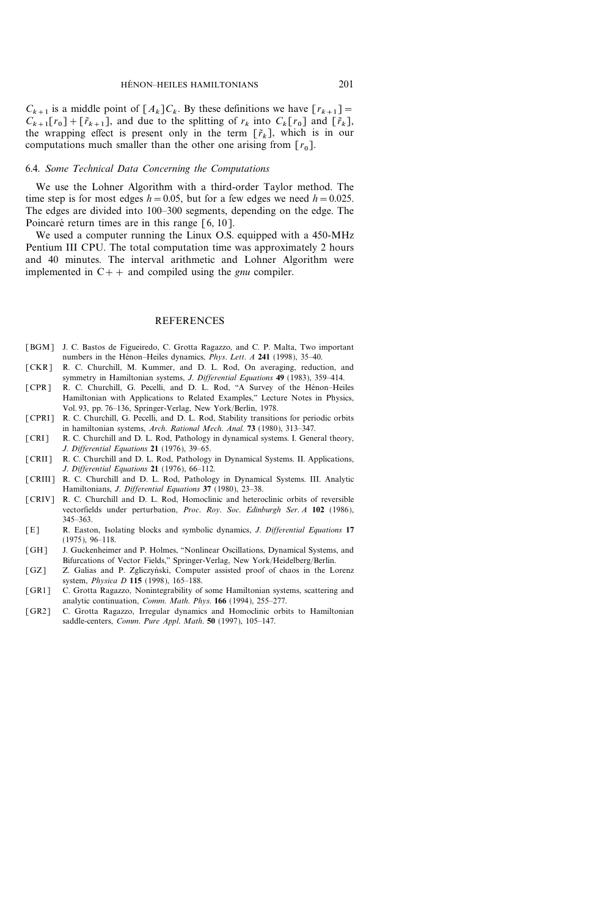$C_{k+1}$  is a middle point of  $[A_k]C_k$ . By these definitions we have  $[r_{k+1}]$  =  $C_{k+1}[r_0]+[\tilde{r}_{k+1}],$  and due to the splitting of  $r_k$  into  $C_k[r_0]$  and  $[\tilde{r}_k],$ the wrapping effect is present only in the term  $[\tilde{r}_k]$ , which is in our computations much smaller than the other one arising from  $[r_0]$ .

#### 6.4. Some Technical Data Concerning the Computations

We use the Lohner Algorithm with a third-order Taylor method. The time step is for most edges  $h=0.05$ , but for a few edges we need  $h=0.025$ . The edges are divided into 100–300 segments, depending on the edge. The Poincaré return times are in this range  $\lceil 6, 10 \rceil$ .

We used a computer running the Linux O.S. equipped with a 450-MHz Pentium III CPU. The total computation time was approximately 2 hours and 40 minutes. The interval arithmetic and Lohner Algorithm were implemented in  $C++$  and compiled using the *gnu* compiler.

# **REFERENCES**

- [BGM] J. C. Bastos de Figueiredo, C. Grotta Ragazzo, and C. P. Malta, Two important numbers in the Hénon-Heiles dynamics, *Phys. Lett. A* 241 (1998), 35-40.
- [CKR] R. C. Churchill, M. Kummer, and D. L. Rod, On averaging, reduction, and symmetry in Hamiltonian systems, *J. Differential Equations* 49 (1983), 359-414.
- [CPR] R. C. Churchill, G. Pecelli, and D. L. Rod, "A Survey of the Hénon-Heiles Hamiltonian with Applications to Related Examples,'' Lecture Notes in Physics, Vol. 93, pp. 76-136, Springer-Verlag, New York/Berlin, 1978.
- [CPRI] R. C. Churchill, G. Pecelli, and D. L. Rod, Stability transitions for periodic orbits in hamiltonian systems, Arch. Rational Mech. Anal. 73 (1980), 313-347.
- [CRI] R. C. Churchill and D. L. Rod, Pathology in dynamical systems. I. General theory, J. Differential Equations  $21$  (1976), 39-65.
- [CRII] R. C. Churchill and D. L. Rod, Pathology in Dynamical Systems. II. Applications, J. Differential Equations  $21$  (1976), 66-112.
- [CRIII] R. C. Churchill and D. L. Rod, Pathology in Dynamical Systems. III. Analytic Hamiltonians, J. Differential Equations 37 (1980), 23-38.
- [CRIV] R. C. Churchill and D. L. Rod, Homoclinic and heteroclinic orbits of reversible vectorfields under perturbation, Proc. Roy. Soc. Edinburgh Ser. A 102 (1986), 345-363.
- [E] R. Easton, Isolating blocks and symbolic dynamics, J. Differential Equations 17  $(1975), 96-118.$
- [GH] J. Guckenheimer and P. Holmes, "Nonlinear Oscillations, Dynamical Systems, and Bifurcations of Vector Fields," Springer-Verlag, New York/Heidelberg/Berlin.
- [GZ] Z. Galias and P. Zgliczyński, Computer assisted proof of chaos in the Lorenz system, *Physica D* 115 (1998), 165-188.
- [GR1] C. Grotta Ragazzo, Nonintegrability of some Hamiltonian systems, scattering and analytic continuation, Comm. Math. Phys. 166 (1994), 255-277.
- [GR2] C. Grotta Ragazzo, Irregular dynamics and Homoclinic orbits to Hamiltonian saddle-centers, Comm. Pure Appl. Math. 50 (1997), 105-147.